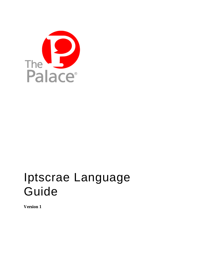

# Iptscrae Language Guide

**Version 1**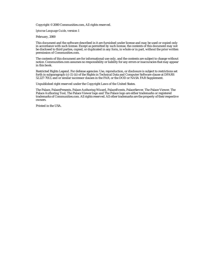Copyright © 2000 Communities.com, All rights reserved.

#### *Iptscrae Language Guide*, version 1

February, 2000

This document and the software described in it are furnished under license and may be used or copied only in accordance with such license. Except as permitted by such license, the contents of this document may not be disclosed to third parties, copied, or duplicated in any form, in whole or in part, without the prior written permission of Communities.com.

The contents of this document are for informational use only, and the contents are subject to change without notice. Communities.com assumes no responsibility or liability for any errors or inaccuracies that may appear in this book.

Restricted Rights Legend. For defense agencies: Use, reproduction, or disclosure is subject to restrictions set forth in subparagraph (c) (1) (ii) of the Rights in Technical Data and Computer Software clause at DFARS 52.227-7013, and or similar successor clauses in the FAR, or the DOD or NASA FAR Supplement.

Unpublished right reserved under the Copyright Laws of the United States.

The Palace, PalacePresents, Palace Authoring Wizard, PalaceEvents, PalaceServer, The Palace Viewer, The Palace Authoring Tool, The Palace Viewer logo and The Palace logo are either trademarks or registered trademarks of Communities.com. All rights reserved. All other trademarks are the property of their respective owners.

Printed in the USA.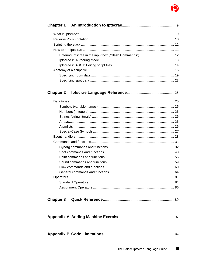# Ò

| <b>Chapter 2</b> |  |
|------------------|--|
|                  |  |
|                  |  |
|                  |  |
|                  |  |
|                  |  |
|                  |  |
|                  |  |
|                  |  |
|                  |  |
|                  |  |
|                  |  |
|                  |  |
|                  |  |
|                  |  |
|                  |  |
|                  |  |
|                  |  |
|                  |  |
| <b>Chapter 3</b> |  |
|                  |  |
|                  |  |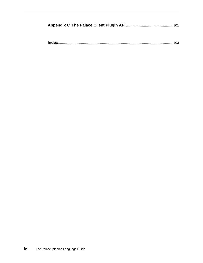**Index**........................................................................................................................ 103

**iv** The Palace Iptscrae Language Guide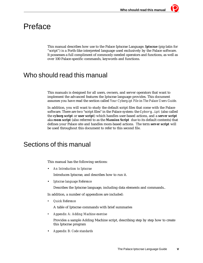# Preface

This manual describes how use to the Palace Iptscrae Language. *Iptscrae* (pig-latin for "script") is a Forth-like interpreted language used exclusively by the Palace software. It possesses a full compliment of commonly-needed operators and functions, as well as over 100 Palace-specific commands, keywords and functions.

# Who should read this manual

This manuals is designed for all users, owners, and server operators that want to implement the advanced features the Iptscrae language provides. This document assumes you have read the section called *Your Cyborg.ipt File* in *The Palace Users Guide.*

In addition, you will want to study the default script files that come with the Palace software. There are two "script files" in the Palace system: the Cyborg. ipt (also called the *cyborg script* or *user script*) which handles user-based actions, and a *server script*  aka *room script* (also referred to as the *Mansion Script* due to its default contents) that defines your Palace site and handles room-based actions. The term *server script* will be used throughout this document to refer to this second file.

# Sections of this manual

This manual has the following sections:

• *An Introduction to Iptscrae*

Introduces Iptscrae, and describes how to run it.

• *Iptscrae language Reference*

Describes the Iptscrae language, including data elements and commands..

In addition, a number of appendices are included:

*• Quick Reference*

A table of Iptscrae commands with brief summaries

*• Appendix A: Adding Machine exercise*

Provides a sample Adding Machine script, describing step by step how to create this Iptscrae program

• *Appendix B: Code standards*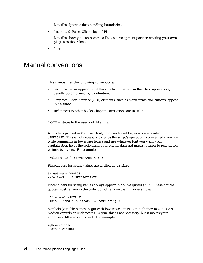Describes Iptscrae data handling boundaries.

• *Appendix C: Palace Client plugin API*

Describes how you can become a Palace development partner, creating your own plug-in to the Palace.

*• Index*

# Manual conventions

This manual has the following conventions:

- Technical terms appear in *boldface italic* in the text in their first appearance, usually accompanied by a definition.
- Graphical User Interface (GUI) elements, such as menu items and buttons, appear in **boldface**.
- References to other books, chapters, or sections are in *Italic*.

NOTE – Notes to the user look like this.

All code is printed in Courier font; commands and keywords are printed in UPPERCASE. This is not necessary as far as the script's operation is concerned - you can write commands in lowercase letters and use whatever font you want - but capitalization helps the code stand out from the data and makes it easier to read scripts written by others. For example:

```
"Welcome to " SERVERNAME & SAY
```
Placeholders for actual values are written in *italics*.

targetsName WHOPOS selectedSpot 2 SETSPOTSTATE

Placeholders for string values always appear in double quotes (" "). These double quotes must remain in the code; do not remove them. For example:

```
"filename" MIDIPLAY
"This " "and " & "that." & tempString =
```
Symbols (variable names) begin with lowercase letters, although they may possess median capitals or underscores. Again; this is not necessary, but it makes your variables a little easier to find. For example:

```
myNewVariable
another_variable
```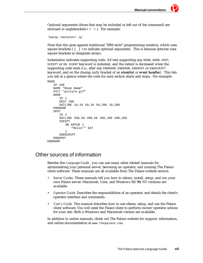Optional arguments (those that may be included or left out of the command) are enclosed in anglebrackets ( < > ). For example:

```
'banip <minutes> ip
```
Note that this goes against traditional "IBM-style" programming notation, which uses square brackets ([ ] ) to indicate optional arguments. This is because Iptscrae uses square brackets to designate arrays.

Indentation indicates supporting code. All text supporting any ROOM, DOOR, SPOT, SCRIPT or ON EVENT keyword is indented, and the indent is decreased when the supporting code ends (i.e., after any ENDROOM, ENDDOOR, ENDSPOT or ENDSCRIPT keyword, and on the closing curly bracket of an *atomlist* or *event handler*). This lets you tell at a glance where the code for each section starts and stops. For example: ROOM

```
ID 100
   NAME "Room Name"
   PICT "picture.gif"
   DOOR
      ID 1
      DEST 200
      OUTLINE 10,10 50,10 50,200 10,200
   ENDDOOR
   SPOT
      ID 2
      OUTLINE 200,50 400,50 400,200 200,200
      SCRIPT
          ON ENTER {
             "Hello!" SAY
          }
      ENDSCRIPT
   ENDSPOT
ENDROOM
```
# Other sources of information

Besides this *Language Guide* , you can use many other related manuals for administering your personal server, becoming an operator, and running The Palace client software. These manuals are all available from The Palace website section.

- *Server Guides*. These manuals tell you how to obtain, install, setup, and run your own Palace server. Macintosh, Unix, and Windows 95/98/NT versions are available.
- *Operator Guide*. Describes the responsibilities of an operator, and details the client's operator interface and commands.
- *User's Guide.* This manual describes how to use obtain, setup, and use the Palace client software. You will need the Palace client to perform owner/operator actions for your site. Both a Windows and Macintosh version are available.

In addition to online manuals, check out The Palace website for support, information, and online documentation at www.thepalace.com.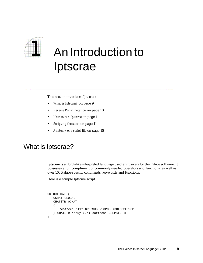

# *1* An Introduction to Iptscrae

This section introduces Iptscrae:

- *What is Iptscrae?* on page 9
- *Reverse Polish notation* on page 10
- *How to run Iptscrae* on page 11
- *Scripting the stack* on page 11
- *Anatomy of a script file* on page 15

# What is Iptscrae?

*Iptscrae* is a Forth-like interpreted language used exclusively by the Palace software. It possesses a full compliment of commonly-needed operators and functions, as well as over 100 Palace-specific commands, keywords and functions.

Here is a sample Iptscrae script:

```
ON OUTCHAT {
   OCHAT GLOBAL
   CHATSTR OCHAT =
   {
      "coffee" "$1" GREPSUB WHOPOS ADDLOOSEPROP
   } CHATSTR "^buy (.*) coffee$" GREPSTR IF
}
```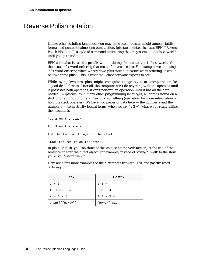# Reverse Polish notation

Unlike other scripting languages you may have seen, Iptscrae might appear rigidly formal and possesses almost no punctuation. Iptscrae's syntax also uses RPN ("Reverse Polish Notation"), a style of command structuring that may seem a little "backward" until you get used to it…

RPN uses what is called a *postfix* word ordering. In a sense, this is "backwards" from the usual *infix* word ordering that most of us are used to. For example, we are using *infix* word ordering when we say "two plus three." In *postfix* word ordering, it would be "two three plus." This is what the Palace software expects to see.

While saying "two three plus" might seem quite strange to you, to a computer it makes a good deal of sense. After all, the computer can't do anything with the operator until it possesses both operands; it can't perform an operation until it has all the data needed. In Iptscrae, as in many other programming languages, all data is stored on a *stack* until you pop it off and use it for something (see below for more information on how the stack operates). We have two pieces of data here — the number 2 and the number 3 — so in strictly logical terms, when we say "2  $3 +$ ", what we're really telling the machine is:

Put 2 on the stack. Put 3 on the stack. Add the two top things on the stack. Place the result on the stack.

In plain English, you can think of this as placing the verb (action) at the end of the sentence or after the direct object. For example, instead of saying "I walk to the store," you'd say "I store walk."

Here are a few more examples of the differences between *infix* and *postfix* word ordering…

| Infix:          | Postfix:        |
|-----------------|-----------------|
| $2 + 3$         | $2 \t3 +$       |
| $(2 + 3) * 4$   | $2 \t3 + 4 \t*$ |
| $X = 4 - 3$     | $4 \t3 - x =$   |
| printf("Howdy") | "Howdy" Say     |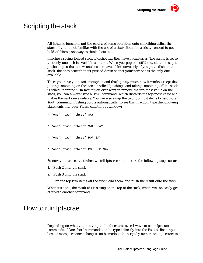# Scripting the stack

All Iptscrae functions put the results of some operation onto something called *the stack.* If you're not familiar with the use of a stack, it can be a tricky concept to get hold of. Here's one way to think about it:

Imagine a spring-loaded stack of dishes like they have in cafeterias. The spring is set so that only one dish is available at a time. When you pop one off the stack, the rest get pushed up so that a new one becomes available; conversely, if you put a dish on the stack, the ones beneath it get pushed down so that your new one is the only one available.

There you have your stack metaphor, and that's pretty much how it works; except that putting something on the stack is called "pushing" and taking something off the stack is called "popping." In fact, if you ever want to remove the top-most value on the stack, you can always issue a POP command, which discards the top-most value and makes the next one available. You can also swap the two top-most items by issuing a SWAP command. Pushing occurs automatically. To see this in action, type the following statements into your Palace client input window:

```
/ "one" "two" "three" SAY
/ "one" "two" "three" SWAP SAY
 "one" "two" "three" POP SAY
/ "one" "two" "three" POP POP SAY
```
So now you can see that when we tell Iptscrae  $" 2 3 + "$ , the following steps occur:

- 1. Push 2 onto the stack
- 2. Push 3 onto the stack
- 3. Pop the top two items off the stack, add them, and push the result onto the stack

When it's done, the result (5 ) is sitting on the top of the stack, where we can easily get at it with another command.

# How to run Iptscrae

Depending on what you're trying to do, there are several ways to enter Iptscrae commands. "One-shot" commands can be typed directly into the Palace client input box, or more permanent changes can be made to the script by owners and operators in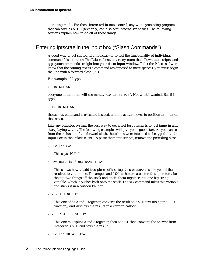authoring mode. For those interested in total control, any word processing program that can save as ASCII (text only) can also edit Iptscrae script files. The following sections explain how to do all of these things.

# Entering Iptscrae in the input box ("Slash Commands")

A good way to get started with Iptscrae (or to test the functionality of individual commands) is to launch The Palace client, enter any room that allows user scripts, and type your commands straight into your client input window. To let the Palace software know that the coming text is a command (as opposed to mere speech), you must begin the line with a forward slash  $( / )$ .

For example, if I type:

10 10 SETPOS

everyone in the room will see me say "10 10 SETPOS". Not what I wanted. But if I type:

/ 10 10 SETPOS

the SETPOS command is executed instead, and my avatar moves to position 10 , 10 on the screen.

Like any complex system, the best way to get a feel for Iptscrae is to just jump in and start playing with it. The following examples will give you a good start. As you can see from the inclusion of the forward slash, these lines were intended to be typed into the Input Box in the Palace client. To paste them into scripts, remove the preceding slash.

/ "Hello" SAY

This says "Hello".

/ "My name is " USERNAME & SAY

This shows how to add two pieces of text together. USERNAME is a keyword that resolves to your name. The ampersand ( & ) is the concatenator; this operator takes the top two things off the stack and sticks them together into one big string variable, which it pushes back onto the stack. The SAY command takes this variable and sticks it in a cartoon balloon.

/ 2 2 + ITOA SAY

This one adds 2 and 2 together, converts the result to ASCII text (using the ITOA function), and displays the results in a cartoon balloon.

/ 2 3 \* 4 + ITOA SAY

This one multiplies 2 and 3 together, then adds 4, then converts the answer from integer to ASCII and says the result.

/ "Hello" 10 40 SAYAT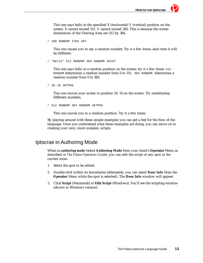This one says hello at the specified  $X$  (horizontal)  $Y$  (vertical) position on the screen. X cannot exceed 511. Y cannot exceed 383. This is because the screen dimensions of the Viewing Area are 512 by 384.

```
/ 100 RANDOM ITOA SAY
```
This one causes you to say a random number. Try it a few times; each time it will be different.

/ "Hello" 512 RANDOM 384 RANDOM SAYAT

This one says hello at a random position on the screen; try it a few times. 512 RANDOM determines a random number from 0 to 511. 384 RANDOM determines a random number from 0 to 383.

/ 10 10 SETPOS

This one moves your avatar to position 10, 10 on the screen. Try substituting different numbers.

/ 512 RANDOM 384 RANDOM SETPOS

This one moves you to a random position. Try it a few times.

By playing around with these simple examples you can get a feel for the flow of the language. Once you understand what these examples are doing, you can move on to creating your own, more complex, scripts.

# Iptscrae in Authoring Mode

When in *authoring mode* (select **Authoring Mode** from your client's **Operator** Menu as described in *The Palace Operators Guide*), you can edit the script of any spot in the current room.

- 1. Select the spot to be edited.
- 2. Double-click within its boundaries (alternately, you can select **Door Info** from the **Operator** Menu while the spot is selected). The **Door Info** window will appear.
- 3. Click **Script** (Macintosh) or **Edit Script** (Windows). You'll see the scripting window (shown in Windows version):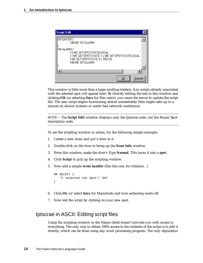| <b>Script Edit</b>                                             |  |
|----------------------------------------------------------------|--|
| ON ENTER {<br>180 ME SETALARM<br>ON ALARM {<br>180 ME SETALARM |  |
|                                                                |  |
| Cancel<br>Οk                                                   |  |

This window is little more than a large scrolling textbox. Any scripts already associated with the selected spot will appear here. By directly editing the text in this window and clicking **OK** (or selecting **Save** for Mac users), you cause the server to update the script file. The new script begins functioning almost immediately (this might take up to a minute on slower systems or under bad network conditions).

NOTE – The **Script Edit** window displays only the Iptscrae code, not the Room/Spot description code.

To see the scripting window in action, try the following simple example:

- 1. Create a new room and put a door in it.
- 2. Double-click on the door to bring up the **Door Info** window.
- 3. From this window, make the door's Type **Normal**. This turns it into a *spot*.
- 4. Click **Script** to pull up the scripting window.
- 5. Now add a simple *event handler* (like this one, for instance…)

```
ON SELECT {
   "I selected the Spot!" SAY
}
```
- 6. Click **Ok** (or select **Save** for Macintosh) and turn authoring mode off.
- 7. Now test the script by clicking on your new spot.

# Iptscrae in ASCII: Editing script files

Using the scripting window in the Palace client doesn't provide you with access to everything. The only way to obtain 100% access to the contents of the script is to edit it directly, which can be done using any word processing program. The only stipulation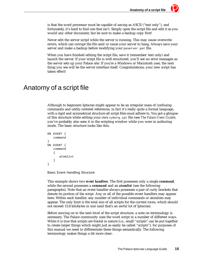is that the word processor must be capable of saving as ASCII ("text only"), and fortunately, it's hard to find one that isn't. Simply open the script file and edit it as you would any other document; but be sure to make a backup copy first!

Never edit the server script while the server is running. This may cause overwrite errors, which can corrupt the file and/or cause your server to hang. Always save your server and make a backup before modifying your peserver.pat file.

When you have finished editing the script file, save it (remember: text only) and launch the server. If your script file is well-structured, you'll see no error messages as the server sets up your Palace site. If you're a Windows or Macintosh user, the next thing you see will be the server interface itself. Congratulations; your new script has taken effect!

# Anatomy of a script file

Although to beginners Iptscrae might appear to be an irregular mass of confusing commands and oddly-ordered references, in fact it's really quite a formal language, with a rigid and symmetrical structure all script files must adhere to. You got a glimpse of this structure while editing your own cyborg.ipt file (see *The Palace Users Guide*); you've probably also seen it in the scripting window while you were in authoring mode. The basic structure looks like this:

```
ON EVENT {
   command
}
ON EVENT {
   command
   { 
       atomline}
}
```
Basic Event Handling Structure

This example shows two *event handlers*. The first possesses only a single *command,*  while the second possesses a *command* and an *atomlist* (see the following paragraphs). Note that an event handler always possesses a pair of curly brackets that denote its portion of the script. Any or all of the possible event handlers may appear here. Within each handler, any number of individual commands or atomlists may appear. The only limit is the total size of all scripts for the current room, which should not exceed 15.8 kilobytes in size (and that's an awful lot of Iptscrae).

Before moving on to the next level of the script structure, a note on terminology is necessary. The Palace community uses the word script in a number of different ways. While it is true that scripts are fractal in nature (i.e., small "scripts" can be put together to create larger things which might just as easily be called "scripts"), for purposes of this manual we need to differentiate these things semantically. The following terminology makes things a bit more clear: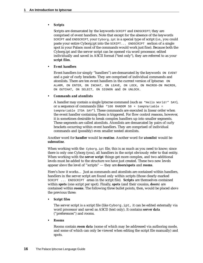## *• Scripts*

Scripts are demarcated by the keywords SCRIPT and ENDSCRIPT; they are comprised of event handlers. Note that except for the absence of the keywords SCRIPT and ENDSCRIPT, your Cyborg.ipt is a special type of script (i.e., you could paste your entire Cyborg.ipt into the SCRIPT... ENDSCRIPT section of a single spot in your Palace; most of the commands would work just fine). Because both the Cyborg.ipt and the server script can be opened via word processor, edited individually and saved in ASCII format ("text only"), they are referred to as your *script files*.

## *• Event handlers*

Event handlers (or simply "handlers") are demarcated by the keywords ON EVENT and a pair of curly brackets. They are comprised of individual commands and atomlists. There are ten event handlers in the current version of Iptscrae: ON ALARM, ON ENTER, ON INCHAT, ON LEAVE, ON LOCK, ON MACRO0-ON MACRO9, ON OUTCHAT, ON SELECT, ON SIGNON and ON UNLOCK.

## *• Commands and atomlists*

A handler may contain a single Iptscrae command (such as "Hello World!" SAY), or a sequence of commands (like "100 RANDOM  $50 + tempVariable =$ tempVariable ITOA SAY"). These commands are executed in linear order when the event handler containing them is triggered. For flow control reasons, however, it is sometimes desirable to break complex handlers up into smaller segments. These segments are called atomlists. Atomlists are demarcated by pairs of curly brackets occurring within event handlers. They are comprised of individual commands and (possibly) even smaller nested atomlists.

### Another word for *handler* would be *routine*. Another word for *atomlist* would be *subroutine*.

When working with the  $cyborg$ ,  $ipt$  file, this is as much as you need to know; since there is only one Cyborg (you), all handlers in the script obviously refer to that entity. When working with the *server script* things get more complex, and two additional levels must be added to the structure we have just created. These two new levels appear *above* the level of "scripts" — they are *doors/spots* and *rooms.*

Here's how it works… Just as commands and atomlists are contained within handlers, handlers in the server script are found only within scripts (those clearly-marked SCRIPT ... ENDSCRIPT areas in the script file)*. Scripts* are themselves contained within *spots* (one script per spot). Finally, *spots* (and their cousins, *doors)* are contained within *rooms*. The following three bullet points, then, would be placed *above*  the previous three:

## *• Script files*

The server script is a script file (like Cyborg.ipt, it can be edited externally via word processor and saved as ASCII (text only). It contains *server data*  ("preferences") and rooms.

#### *• Rooms*

Rooms contain *room data* (some of which may be addressed via authoring mode, and some of which can only be viewed when editing the script file manually) and spots.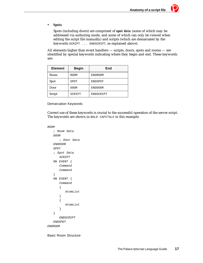#### *• Spots*

Spots (including doors) are comprised of *spot data* (some of which may be addressed via authoring mode, and some of which can only be viewed when editing the script file manually) and scripts (which are demarcated by the keywords SCRIPT ... ENDSCRIPT, as explained above).

All elements higher than event handlers — scripts, doors, spots and rooms — are identified by special keywords indicating where they begin and end. These keywords are:

| <b>Element</b> | <b>Begin</b> | End            |  |
|----------------|--------------|----------------|--|
| Room           | <b>ROOM</b>  | <b>ENDROOM</b> |  |
| Spot           | SPOT         | <b>ENDSPOT</b> |  |
| Door           | <b>DOOR</b>  | <b>ENDDOOR</b> |  |
| Script         | SCRIPT       | ENDSCRIPT      |  |

Demarcation Keywords

Correct use of these keywords is crucial to the successful operation of the server script. The keywords are shown in BOLD CAPITALS in this example:

```
ROOM
```

```
; Room Data
   DOOR
       ; Door Data
   ENDDOOR
   SPOT
   ; Spot Data
      SCRIPT
   ON EVENT {
      Command
       Command
   }
   ON EVENT {
       Command
       { 
          AtomList
       }
       { 
          AtomList
       }
   }
      ENDSCRIPT
   ENDSPOT
ENDROOM
```
Basic Room Structure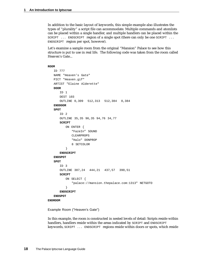In addition to the basic layout of keywords, this simple example also illustrates the types of "plurality" a script file can accommodate. Multiple commands and atomlists can be placed within a single handler, and multiple handlers can be placed within the SCRIPT ... ENDSCRIPT region of a single spot (there can only be one SCRIPT ... ENDSCRIPT region per spot, however).

Let's examine a sample room from the original "Mansion" Palace to see how this structure is put to use in real life. The following code was taken from the room called Heaven's Gate...

```
ROOM
```

```
ID 777
   NAME "Heaven's Gate"
   PICT "Heaven.gif"
   ARTIST "Elaine Alderette"
   DOOR
      ID 1
      DEST 103
      OUTLINE 0,309 512,313 512,384 0,384
   ENDDOOR
   SPOT
      ID 2
      OUTLINE 35,35 96,35 94,76 34,77
      SCRIPT
          ON ENTER {
             "FazeIn" SOUND
             CLEARPROPS
             "Halo" DONPROP
             8 SETCOLOR
          }
      ENDSCRIPT
   ENDSPOT
   SPOT
      ID 3
      OUTLINE 387,24 444,21 437,57 390,51
      SCRIPT
          ON SELECT {
             "palace://mansion.thepalace.com:1313" NETGOTO
          }
      ENDSCRIPT
   ENDSPOT
ENDROOM
```
Example Room ("Heaven's Gate")

In this example, the room is constructed in nested levels of detail: Scripts reside within handlers, handlers reside within the areas indicated by SCRIPT and ENDSCRIPT keywords, SCRIPT ... ENDSCRIPT regions reside within doors or spots, which reside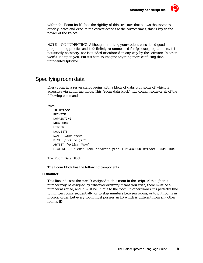within the Room itself. It is the rigidity of this structure that allows the server to quickly locate and execute the correct actions at the correct times; this is key to the power of the Palace.

NOTE – ON INDENTING: Although indenting your code is considered good programming practice and is definitely recommended for Iptscrae programmers, it is not strictly necessary, nor is it aided or enforced in any way by the software. In other words, it's up to you. But it's hard to imagine anything more confusing than unindented Iptscrae…

# Specifying room data

Every room in a server script begins with a block of data, only some of which is accessible via authoring mode. This "room data block" will contain some or all of the following commands:

#### ROOM

```
ID number
PRIVATE
NOPAINTING
NOCYBORGS
HIDDEN
NOGUESTS
NAME "Room Name"
PICT "picture.gif"
ARTIST "Artist Name"
PICTURE ID number NAME "another.gif" <TRANSCOLOR number> ENDPICTURE
```
The Room Data Block

The Room block has the following components.

#### **ID number**

This line indicates the *roomID* assigned to this room in the script. Although this number may be assigned by whatever arbitrary means you wish, there must be a number assigned, and it must be unique to the room. In other words, it's perfectly fine to number rooms sequentially, or to skip numbers between rooms, or to put rooms in illogical order, but every room must possess an ID which is different from any other room's ID.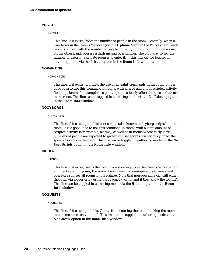#### **PRIVATE**

#### PRIVATE

This line, if it exists, hides the number of people in the room. Generally, when a user looks in the **Rooms** Window (via the **Options** Menu in the Palace client), each room is shown with the number of people currently in that room. Private rooms, on the other hand, possess a dash instead of a number. The only way to tell the number of users in a private room is to enter it. This line can be toggled in authoring mode via the **Private** option in the **Room Info** window.

#### **NOPAINTING**

#### NOPAINTING

This line, if it exists, prohibits the use of all *paint commands* in the room. It is a good idea to use this command in rooms with a large amount of scripted activity (looping alarms, for example), as painting can seriously affect the speed of events in the room. This line can be toggled in authoring mode via the **No Painting** option in the **Room Info** window.

#### **NOCYBORGS**

#### NOCYBORGS

This line, if it exists, prohibits user scripts (also known as "cyborg scripts") in the room. It is a good idea to use this command in rooms with a large amount of scripted activity (for example, alarms), as well as in rooms where fairly large numbers of people are expected to gather, as user scripts can seriously affect the speed of events in the room. This line can be toggled in authoring mode via the **No User Scripts** option in the **Room Info** window.

#### **HIDDEN**

#### **HTDDEN**

This line, if it exists, keeps the room from showing up in the **Rooms** Window. For all intents and purposes, the room doesn't exist for non-operators (owners and operators still see all rooms in the Palace). Note that non-operators can still enter the room via a door or by using the GOTOROOM command if they know the roomID. This line can be toggled in authoring mode via the **Hidden** option in the **Room Info** window.

#### **NOGUESTS**

#### NOGUESTS

This line, if it exists, prohibits Guests from entering the room (making the room into a "members only" room). This line can be toggled in authoring mode via the **No Guests** option in the **Room Info** window.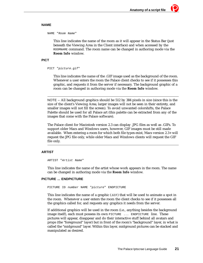#### **NAME**

NAME "Room Name"

This line indicates the name of the room as it will appear in the Status Bar (just beneath the Viewing Area in the Client interface) and when accessed by the ROOMNAME command. The room name can be changed in authoring mode via the **Room Info** window.

#### **PICT**

```
PICT "picture.gif"
```
This line indicates the name of the .GIF image used as the background of the room. Whenever a user enters the room the Palace client checks to see if it possesses this graphic, and requests it from the server if necessary. The background graphic of a room can be changed in authoring mode via the **Room Info** window.

NOTE – All background graphics should be 512 by 384 pixels in size (since this is the size of the client's Viewing Area; larger images will not be seen in their entirety, and smaller images will not fill the screen). To avoid unwanted colorshifts, the Palace Palette should be used for all Palace art (this palette can be extracted from any of the images that come with the Palace software).

The Palace client for Macintosh version 2.3 can display .JPG files as well as .GIFs. To support older Macs and Windows users, however, GIF images must be still made available. When entering a room for which both file types exist, Macs version 2.3+ will request the JPG file only, while older Macs and Windows clients will request the GIF file only.

## **ARTIST**

ARTIST "Artist Name"

This line indicates the name of the artist whose work appears in the room. The name can be changed in authoring mode via the **Room Info** window.

#### **PICTURE ... ENDPICTURE**

PICTURE ID number NAME "picture" ENDPICTURE

This line indicates the name of a graphic (.GIF) that will be used to animate a spot in the room. Whenever a user enters the room the client checks to see if it possesses all the graphics called for, and requests any graphics it needs from the server.

If additional graphics will be used in the room (i.e., anything besides the background image itself), each must possess its own PICTURE ... ENDPICTURE line. These pictures will appear, disappear and do their interactive stuff behind all avatars and props (the "foreground" layer) but in front of the room's "background" layer, in what is called the "midground" layer. Within this layer, midground pictures can be stacked and manipulated as desired.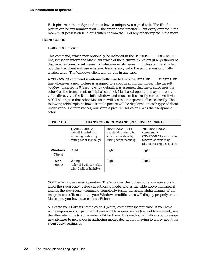Each picture in the midground must have a unique  $ID$  assigned to it. The ID of a picture can be any number at all — the order doesn't matter — but every graphic in the room must possess an ID that is different from the ID of any other graphic in the room.

#### **TRANSCOLOR**

#### TRANSCOLOR number

This command, which may optionally be included in the PICTURE ... ENDPICTURE line, is used to inform the Mac client which of the picture's 256 colors (if any) should be displayed as *transparent*, revealing whatever exists beneath. If this command is left out, the Mac client will use whatever transparency color the picture was originally created with. The Windows client will do this in any case.

A TRANSCOLOR command is automatically inserted into the PICTURE ... ENDPICTURE line whenever a new picture is assigned to a spot in authoring mode. The default  $number$  inserted is 0 (zero); i.e., by default, it is assumed that the graphic uses the color 0 as the transparent, or "alpha" channel. Mac-based operators may address this value directly via the **Door Info** window, and must set it correctly (or remove it via ASCII editing) so that other Mac users will see the transparent effects correctly. The following table explains how a sample picture will be displayed on each type of client under various circumstances; our sample picture uses color 114 as the transparent color.

| <b>USER OS</b>                  | <b>TRANSCOLOR COMMAND (IN SERVER SCRIPT)</b>                                              |                                                                                              |                                                                                                                          |  |
|---------------------------------|-------------------------------------------------------------------------------------------|----------------------------------------------------------------------------------------------|--------------------------------------------------------------------------------------------------------------------------|--|
|                                 | TRANSCOLOR 0<br>(default inserted via<br>authoring mode or by<br>editing script manually) | TRANSCOLOR 114<br>(set via Mac wizard in<br>authoring mode or by<br>editing script manually) | <no transcolor<br="">command<br/>(TRANSCOLOR can only be<br/>removed or avoided by<br/>editing the script manually)</no> |  |
| <b>Windows</b><br><b>Client</b> | Right                                                                                     | Right                                                                                        | Right                                                                                                                    |  |
| Mac<br><b>Client</b>            | Wrong<br>(color 114 will be visible.<br>color 0 will be invisible)                        | Right                                                                                        | Right                                                                                                                    |  |

NOTE – Windows-based operators: The Windows client does not allow operators to affect the TRANSCOLOR value via authoring mode, and as the table above indicates, it ignores the TRANSCOLOR command completely (using the actual alpha channel of the image instead). To make sure your Windows modifications will display properly on the Mac client, you have two choices. Either:

A. Create your GIFs using the color 0 (white) as the transparent color. If you have white regions in your picture that you want to appear visible (i.e., not transparent), use the alternate white (color number 215) for them. This method will allow you to assign new pictures to new spots in authoring mode later, without having to worry about the TRANSCOLOR setting, or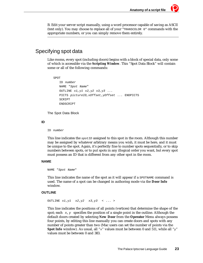B. Edit your server script manually, using a word processor capable of saving as ASCII (text only). You may choose to replace all of your "TRANSCOLOR 0" commands with the appropriate numbers, or you can simply remove them entirely.

# Specifying spot data

Like rooms, every spot (including doors) begins with a block of special data, only some of which is accessible via the *Scripting Window*. This "Spot Data Block" will contain some or all of the following commands:

```
SPOT
   ID number
   NAME "Spot Name"
   OUTLINE x1, y1 x2, y2 x3, y3 ...
   PICTS pictureID,xOffset,yOffset ... ENDPICTS
   SCRIPT
   ENDSCRIPT
```
The Spot Data Block

#### **ID**

ID number

This line indicates the  $spectD$  assigned to this spot in the room. Although this number may be assigned by whatever arbitrary means you wish, it must be here, and it must be unique to the spot. Again, it's perfectly fine to number spots sequentially, or to skip numbers between spots, or to put spots in any illogical order you want, but every spot must possess an ID that is different from any other spot in the room.

#### **NAME**

NAME "Spot Name"

This line indicates the name of the spot as it will appear if a SPOTNAME command is used. The name of a spot can be changed in authoring mode via the **Door Info** window.

#### **OUTLINE**

OUTLINE  $x1, y1$   $x2, y2$   $x3, y3$  < ... >

This line indicates the positions of all points (vertices) that determine the shape of the spot; each  $x, y$  specifies the position of a single point in the outline. Although the default doors created by selecting **New Door** from the **Operator** Menu always possess four points, by editing this line manually you can create doors and spots with any number of points greater than two (Mac users can set the number of points via the **Spot Info** window). As usual, all "x" values must be between 0 and 511, while all "y" values must be between 0 and 383.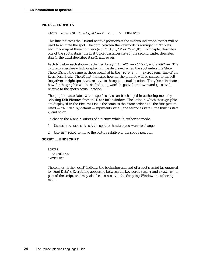#### **PICTS ... ENDPICTS**

PICTS pictureID,offsetX,offsetY < ... > ENDPICTS

This line indicates the IDs and relative positions of the midground graphics that will be used to animate the spot. The data between the keywords is arranged in "triplets," each made up of three numbers (e.g.: "100,10,20" or "5,-25,0"). Each triplet describes one of the spot's *states:* the first triplet describes *state 0,* the second triplet describes *state 1,* the third describes *state 2,* and so on.

Each triplet — each *state* — is defined by a pictureID*,* an xOffset*,* and a yOffset*.* The *pictureID* specifies which graphic will be displayed when the spot enters the State. These IDs are the same as those specified in the PICTURE ... ENDPICTURE line of the *Room Data Block*. The *xOffset* indicates how far the graphic will be shifted to the left (negative) or right (positive), relative to the spot's actual location. The y*Offset* indicates how far the graphic will be shifted to upward (negative) or downward (positive), relative to the spot's actual location.

The graphics associated with a spot's states can be changed in authoring mode by selecting **Edit Pictures** from the **Door Info** window. The order in which these graphics are displayed in the Pictures List is the same as the "state order," i.e.: the first picture listed — "NONE" by default — represents *state 0,* the second is *state 1,* the third is *state 2,* and so on.

To change the X and Y offsets of a picture while in authoring mode:

- 1. Use SETSPOTSTATE to set the spot to the state you want to change.
- 2. Use SETPICLOC to move the picture relative to the spot's position.

#### **SCRIPT ... ENDSCRIPT**

SCRIPT <handlers> ENDSCRIPT

These lines (if they exist) indicate the beginning and end of a spot's script (as opposed to "Spot Data"). Everything appearing between the keywords SCRIPT and ENDSCRIPT is part of the script, and may also be accessed via the Scripting Window in authoring mode.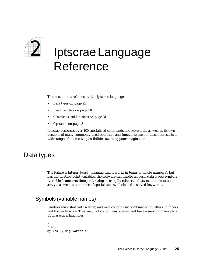

# *2* Iptscrae Language Reference

This section is a reference to the Iptscrae language:

- *Data types* on page 25
- *Event handlers* on page 28
- *Commands and functions* on page 31
- *Operators* on page 81

Iptscrae possesses over 100 specialized commands and keywords, as well as its own versions of many commonly-used operators and functions; each of these represents a wide range of interactive possibilities awaiting your imagination.

# Data types

The Palace is *integer-based* (meaning that it works in terms of whole numbers), but barring floating-point variables, the software can handle all basic data types: *symbols* (variables), *numbers* (integers), *strings* (string literals), *atomlists* (subroutines) and *arrays*, as well as a number of special-case symbols and reserved keywords.

# Symbols (variable names)

Symbols must start with a letter, and may contain any combination of letters, numbers and the underscore. They may not contain any spaces, and have a maximum length of 31 characters. Examples:

```
x
plan9
my_really_big_variable
```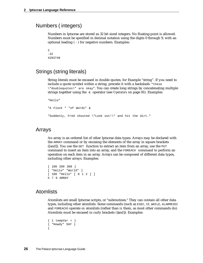# Numbers ( integers)

Numbers in Iptscrae are stored as 32 bit sized integers. No floating-point is allowed. Numbers must be specified in decimal notation using the digits 0 through 9, with an optional leading ( - ) for negative numbers. Examples:

```
2
-324283748
```
# Strings (string literals)

String literals must be encased in double quotes, for Example "string". If you need to include a quote symbol within a string, precede it with a backslash: "these \"doublequotes\" are okay". You can create long strings by concatenating multiple strings together using the & operator (see *Operators* on page 81). Examples:

```
"Hello"
"A Flock " "of Words" & 
"Suddenly, Fred shouted \"Look out!\" and hit the dirt."
```
# Arrays

An array is an ordered list of other Iptscrae data types. Arrays may be declared with the ARRAY command or by encasing the elements of the array in square brackets ([and]). You use the GET function to extract an item from an array, use the PUT command to insert an item into an array, and the FOREACH command to perform an operation on each item in an array. Arrays can be composed of different data types, including other arrays. Examples:

```
[ 100 200 300 ]
[ "Hello" "World" ]
[ 100 "Hello" [ 0 1 2 ] ]
5 7 9 ARRAY
```
# **Atomlists**

Atomlists are small Iptscrae scripts, or "subroutines." They can contain all other data types, including other atomlists. Some commands (such as EXEC, IF, WHILE, ALARMEXEC and FOREACH) operate *on* atomlists (rather than *in* them, as most other commands do). Atomlists must be encased in curly brackets ({and}). Examples:

```
\{ 1 \text{ tempVar} = \}{ "Howdy" SAY }
{
```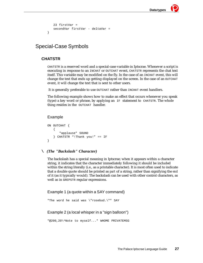```
23 firstVar =
secondVar firstVar - deltaVar =
```
# Special-Case Symbols

# **CHATSTR**

}

CHATSTR is a reserved word and a special-case variable in Iptscrae. Whenever a script is executing in response to an INCHAT or OUTCHAT event, CHATSTR represents the chat text itself. This variable may be modified on the fly. In the case of an INCHAT event, this will change the text that ends up getting displayed on the screen. In the case of an OUTCHAT event, it will change the text that is sent to other users.

It is generally preferable to use OUTCHAT rather than INCHAT event handlers.

The following example shows how to make an effect that occurs whenever you speak (type) a key word or phrase, by applying an IF statement to CHATSTR. The whole thing resides in the OUTCHAT handler.

# Example

```
ON OUTCHAT {
   { 
       "applause" SOUND
   } CHATSTR "!Thank you!" == IF
}
```
# **\** *(The "Backslash" Character)*

The backslash has a special meaning in Iptscrae; when it appears within a character string, it indicates that the character immediately following it should be included within the string literally (i.e., as a printable character). It is most often used to indicate that a double quote should be printed as *part* of a string, rather than signifying the *end*  of it (as it typically would). The backslash can be used with other control characters, as well as in GREPSTR regular expressions.

Example 1 (a quote within a SAY command)

"The word he said was \"rosebud.\"" SAY

# Example 2 (a local whisper in a "sign balloon")

```
"@200,20\^Note to myself..." WHOME PRIVATEMSG
```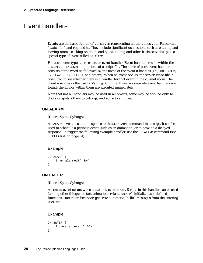# Event handlers

*Events* are the basic stimuli of the server, representing all the things your Palace can "watch for" and respond to. They include significant user actions such as entering and leaving rooms, clicking on doors and spots, talking and other basic activities, plus a special type of event called an *alarm*.

For each event type, there exists an *event handler*. Event handlers reside within the SCRIPT... ENDSCRIPT portions of a script file. The name of each event handler consists of the word ON followed by the name of the event it handles (i.e., ON ENTER, ON LEAVE, ON SELECT, and others). When an event occurs, the server script file is consulted to see whether there is a handler for that event in the current room. The client also checks the user's Cyborg.ipt file. If any appropriate event handlers are found, the scripts within them are executed immediately.

Note that not all handlers may be used in all objects; some may be applied only to doors or spots, others to cyborgs, and some to all three.

## **ON ALARM**

(Doors, Spots, Cyborgs)

An ALARM event occurs in response to the SETALARM command in a script. It can be used to schedule a periodic event, such as an animation, or to provide a delayed response. To trigger the following example handler, use the SETALARM command (see *SETALARM* on page 51).

#### Example

```
ON ALARM {
   "I am alarmed!" SAY
}
```
# **ON ENTER**

(Doors, Spots, Cyborgs)

An ENTER event occurs when a user enters the room. Scripts in this handler can be used (among other things) to start animations (via SETALARM), initialize user-defined functions, start room behavior, generate automatic "hello" messages from the entering user, etc.

```
ON ENTER {
   "I have entered!" SAY
}
```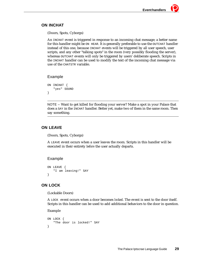# **ON INCHAT**

(Doors, Spots, Cyborgs)

An INCHAT event is triggered in response to an incoming chat message; a better name for this handler might be ON HEAR. It is generally preferable to use the OUTCHAT handler instead of this one, because INCHAT events will be triggered by all user speech, user scripts, and any other "talking spots" in the room (very possibly flooding the server), whereas OUTCHAT events will only be triggered by users' deliberate speech. Scripts in the INCHAT handler can be used to modify the text of the incoming chat message via use of the CHATSTR variable.

# Example

```
ON INCHAT {
   "yes" SOUND
}
```
NOTE – Want to get killed for flooding your server? Make a spot in your Palace that does a SAY in the INCHAT handler. Better yet, make two of them in the same room. Then say something.

# **ON LEAVE**

(Doors, Spots, Cyborgs)

A LEAVE event occurs when a user leaves the room. Scripts in this handler will be executed in their entirety *before* the user actually departs.

# Example

```
ON LEAVE {
   "I am leaving!" SAY
}
```
# **ON LOCK**

(Lockable Doors)

A LOCK event occurs when a door becomes *locked*. The event is sent to the door itself. Scripts in this handler can be used to add additional behaviors to the door in question.

```
ON LOCK {
   "The door is locked!" SAY
}
```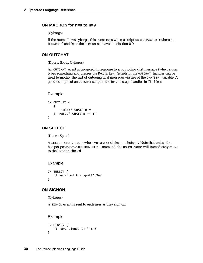## **ON MACROn for n=0 to n=9**

#### (Cyborgs)

If the room allows cyborgs, this event runs when a script uses ONMACROn (where n is between 0 and 9) or the user uses an avatar selection 0-9

# **ON OUTCHAT**

(Doors, Spots, Cyborgs)

An OUTCHAT event is triggered in response to an outgoing chat message (when a user types something and presses the *Return* key). Scripts in the OUTCHAT handler can be used to modify the text of outgoing chat messages via use of the CHATSTR variable. A good example of an OUTCHAT script is the text message handler in *The Moor.*

#### Example

```
ON OUTCHAT {
   {
       "Polo!" CHATSTR =
   } "Marco" CHATSTR == IF
}
```
## **ON SELECT**

(Doors, Spots)

A SELECT event occurs whenever a user clicks on a hotspot. Note that unless the hotspot possesses a DONTMOVEHERE command, the user's avatar will immediately move to the location clicked.

#### Example

```
ON SELECT {
   "I selected the spot!" SAY
}
```
## **ON SIGNON**

(Cyborgs)

A SIGNON event is sent to each user as they sign on.

```
ON SIGNON {
   "I have signed on!" SAY
}
```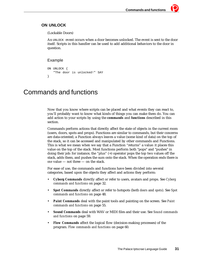# **ON UNLOCK**

(Lockable Doors)

An UNLOCK event occurs when a door becomes unlocked. The event is sent to the door itself. Scripts in this handler can be used to add additional behaviors to the door in question.

# Example

```
ON UNLOCK {
   "The door is unlocked!" SAY
}
```
# Commands and functions

Now that you know where scripts can be placed and what events they can react to, you'll probably want to know what kinds of things you can make them do. You can add action to your scripts by using the *commands* and *functions* described in this section.

Commands perform actions that directly affect the state of objects in the current room (users, doors, spots and props). Functions are similar to commands, but their concerns are data-oriented; a Function always leaves a value (some kind of data) on the top of the stack, so it can be accessed and manipulated by other commands and Functions. This is what we mean when we say that a Function "returns" a value: it places this value on the top of the stack. Most functions perform both "pops" and "pushes" in doing their job: for instance, the "plus" (+) operator pops the top two values off the stack, adds them, and pushes the sum onto the stack. When the operation ends there is *one* value — not three — on the stack.

For ease of use, the commands and functions have been divided into several categories, based upon the objects they affect and actions they perform:

- *Cyborg Commands* directly affect or refer to users, avatars and props. See *Cyborg commands and functions* on page 32.
- *Spot Commands* directly affect or refer to hotspots (both *doors* and *spots*). See *Spot commands and functions* on page 48.
- *Paint Commands* deal with the paint tools and painting on the screen. See *Paint commands and functions* on page 55.
- *Sound Commands* deal with WAV or MIDI files and their use. See *Sound commands and functions* on page 59.
- *Flow Commands* affect the logical flow (decision-making processes) of the program. *Flow commands and functions* on page 60.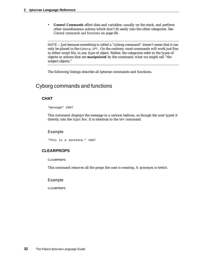• *General Commands* affect data and variables; usually on the stack, and perform other miscellaneous actions which don't fit easily into the other categories. See *General commands and functions* on page 64.

NOTE – Just because something is called a "cyborg command" doesn't mean that it can only be placed in the Cyborg.IPT. On the contrary, most commands will work just fine in either script file, in any type of object. Rather, the categories refer to the types of objects or actions that are *manipulated* by the command; what we might call "the subject objects."

The following listings describe all Iptscrae commands and functions.

# Cyborg commands and functions

# **CHAT**

"message" CHAT

This command displays the message in a cartoon balloon, as though the user typed it directly into the *Input Box*. It is identical to the SAY command.

#### Example

```
"This is a sentence." CHAT
```
## **CLEARPROPS**

CLEARPROPS

This command removes all the props the user is wearing. A synonym is NAKED.

### Example

CLEARPROPS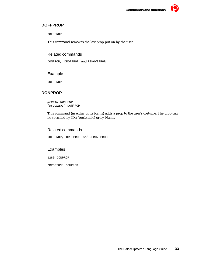# **DOFFPROP**

DOFFPROP

This command removes the last prop put on by the user.

# Related commands

DONPROP, DROPPROP and REMOVEPROP*.* 

# Example

DOFFPROP

# **DONPROP**

propID DONPROP "propName" DONPROP

This command (in either of its forms) adds a prop to the user's costume. The prop can be specified by ID# (preferable) or by Name.

# Related commands

DOFFPROP, DROPPROP and REMOVEPROP.

# Examples

1280 DONPROP

"BRBSIGN" DONPROP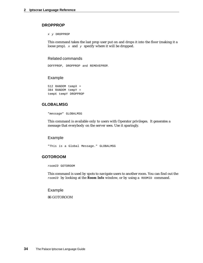# **DROPPROP**

x y DROPPROP

This command takes the last prop user put on and drops it into the floor (making it a loose prop).  $x$  and  $y$  specify where it will be dropped.

## Related commands

DOFFPROP, DROPPROP and REMOVEPROP.

#### Example

512 RANDOM tempX = 384 RANDOM tempY = tempX tempY DROPPROP

## **GLOBALMSG**

"message" GLOBALMSG

This command is available only to users with Operator privileges. It generates a message that everybody on the server sees. Use it sparingly.

### Example

"This is a Global Message." GLOBALMSG

## **GOTOROOM**

roomID GOTOROOM

This command is used by spots to navigate users to another room. You can find out the roomID by looking at the **Room Info** window, or by using a ROOMID command.

Example

86 GOTOROOM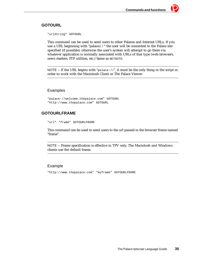# **GOTOURL**

"urlString" GOTOURL

This command can be used to send users to other Palaces and Internet URLs. If you use a URL beginning with "palace://" the user will be connected to the Palace site specified (if possible); otherwise the user's system will attempt to go there via whatever application is normally associated with URLs of that type (web browsers, news readers, FTP utilities, etc.) Same as NETGOTO.

NOTE – If the URL begins with "palace:  $//$ ", it must be the only thing in the script in order to work with the Macintosh Client or The Palace Viewer.

# Examples

"palace://welcome.thepalace.com" GOTOURL "http://www.thepalace.com" GOTOURL

# **GOTOURLFRAME**

"url" "frame" GOTOURLFRAME

This command can be used to send users to the url passed in the browser frame named "frame".

NOTE – Frame specification is effective in TPV only. The Macintosh and Windows clients use the default frame.

# Example

"http://www.thepalace.com" "myframe" GOTOURLFRAME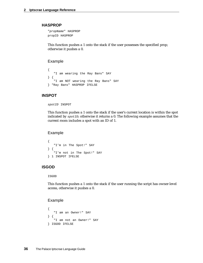#### **HASPROP**

"propName" HASPROP propID HASPROP

This function pushes a 1 onto the stack if the user possesses the specified prop; otherwise it pushes a 0.

#### Example

```
{ 
   "I am wearing the Ray Bans" SAY 
} {
   "I am NOT wearing the Ray Bans" SAY 
} "Ray Bans" HASPROP IFELSE
```
# **INSPOT**

spotID INSPOT

This function pushes a 1 onto the stack if the user's current location is within the spot indicated by  $spectD$ ; otherwise it returns a 0. The following example assumes that the current room includes a spot with an ID of 1.

#### Example

```
{
   "I'm in The Spot!" SAY
} {
   "I'm not in The Spot!" SAY
} 1 INSPOT IFELSE
```
# **ISGOD**

ISGOD

This function pushes a 1 onto the stack if the user running the script has owner-level access, otherwise it pushes a 0.

```
{
   "I am an Owner!" SAY
} {
   "I am not an Owner!" SAY
} ISGOD IFELSE
```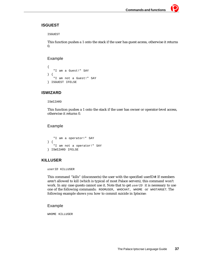# **ISGUEST**

ISGUEST

This function pushes a 1 onto the stack if the user has guest access, otherwise it returns  $\mathbf{0}$ .

## Example

```
{
   "I am a Guest!" SAY
} {
   "I am not a Guest!" SAY
} ISGUEST IFELSE
```
# **ISWIZARD**

#### ISWIZARD

This function pushes a 1 onto the stack if the user has owner or operator-level access, otherwise it returns 0.

# Example

```
"I am a operator!" SAY
} {
   "I am not a operator!" SAY
} ISWIZARD IFELSE
```
# **KILLUSER**

userID KILLUSER

This command "kills" (disconnects) the user with the specified userID#. If members aren't allowed to kill (which is typical of most Palace servers), this command won't work. In any case guests cannot use it. Note that to get userID it is necessary to use one of the following commands: ROOMUSER, WHOCHAT, WHOME or WHOTARGET. The following example shows you how to commit suicide in Iptscrae:

## Example

WHOME KILLUSER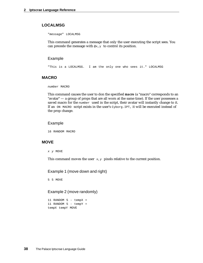# **LOCALMSG**

"message" LOCALMSG

This command generates a message that only the user executing the script sees. You can precede the message with  $\mathfrak{g}_{x,y}$  to control its position.

#### Example

"This is a LOCALMSG. I am the only one who sees it." LOCALMSG

## **MACRO**

number MACRO

This command causes the user to don the specified *macro* (a "macro" corresponds to an "avatar" — a group of props that are all worn at the same time). If the user possesses a saved macro for the  $number$  used in the script, their avatar will instantly change to it. If an ON MACRO script exists in the user's Cyborg.IPT, it will be executed instead of the prop change.

#### Example

16 RANDOM MACRO

#### **MOVE**

x y MOVE

This command moves the user  $x, y$  pixels relative to the current position.

Example 1 (move down and right)

5 5 MOVE

## Example 2 (move randomly)

11 RANDOM 5 - tempX = 11 RANDOM 5 - tempY = tempX tempY MOVE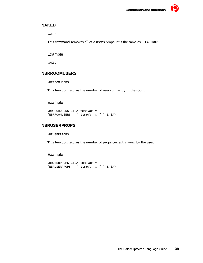# **NAKED**

NAKED

This command removes all of a user's props. It is the same as CLEARPROPS.

# Example

NAKED

# **NBRROOMUSERS**

NBRROOMUSERS

This function returns the number of users currently in the room.

# Example

```
NBRROOMUSERS ITOA tempVar =
"NBRROOMUSERS = " tempVar & "." & SAY
```
# **NBRUSERPROPS**

NBRUSERPROPS

This function returns the number of props currently worn by the user.

```
NBRUSERPROPS ITOA tempVar =
"NBRUSERPROPS = " tempVar & "." & SAY
```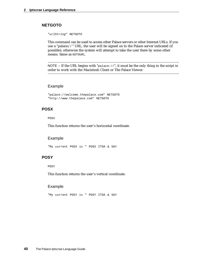## **NETGOTO**

"urlString" NETGOTO

This command can be used to access other Palace servers or other Internet URLs. If you use a "palace://" URL, the user will be signed on to the Palace server indicated (if possible); otherwise the system will attempt to take the user there by some other means. Same as GOTOURL*.*

NOTE – If the URL begins with " $_{\text{palace}}$ ://", it must be the only thing in the script in order to work with the Macintosh Client or The Palace Viewer.

#### Example

```
"palace://welcome.thepalace.com" NETGOTO 
"http://www.thepalace.com" NETGOTO
```
## **POSX**

POSX

This function returns the user's horizontal coordinate.

## Example

"My current POSX is " POSX ITOA & SAY

## **POSY**

POSY

This function returns the user's vertical coordinate.

#### Example

"My current POSY is " POSY ITOA & SAY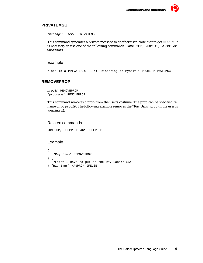## **PRIVATEMSG**

"message" userID PRIVATEMSG

This command generates a private message to another user. Note that to get userID it is necessary to use one of the following commands: ROOMUSER, WHOCHAT, WHOME or WHOTARGET.

## Example

"This is a PRIVATEMSG. I am whispering to myself." WHOME PRIVATEMSG

# **REMOVEPROP**

propID REMOVEPROP "propName" REMOVEPROP

This command removes a prop from the user's costume. The prop can be specified by name or by *propID*. The following example removes the "Ray Bans" prop (if the user is wearing it).

## Related commands

DONPROP, DROPPROP and DOFFPROP.

```
{ 
   "Ray Bans" REMOVEPROP
} {
   "First I have to put on the Ray Bans!" SAY 
} "Ray Bans" HASPROP IFELSE
```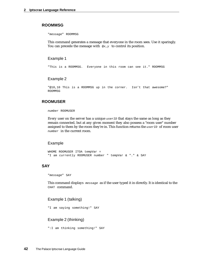#### **ROOMMSG**

"message" ROOMMSG

This command generates a message that everyone in the room sees. Use it sparingly. You can precede the message with  $\mathcal{L}_{Y}$  to control its position.

#### Example 1

"This is a ROOMMSG. Everyone in this room can see it." ROOMMSG

#### Example 2

"@10,10 This is a ROOMMSG up in the corner. Isn't that awesome?" ROOMMSG

#### **ROOMUSER**

number ROOMUSER

Every user on the server has a unique userID that stays the same as long as they remain connected, but at any given moment they also possess a "room user" number assigned to them by the room they're in. This function returns the userID of room user number in the current room.

#### Example

```
WHOME ROOMUSER ITOA tempVar =
"I am currently ROOMUSER number " tempVar & "." & SAY
```
#### **SAY**

"message" SAY

This command displays message as if the user typed it in directly. It is identical to the CHAT command.

#### Example 1 (talking)

```
"I am saying something!" SAY
```
#### Example 2 (thinking)

```
":I am thinking something!" SAY
```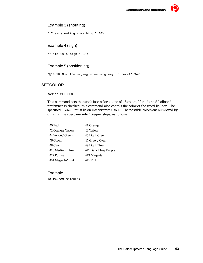# Example 3 (shouting)

"!I am shouting something!" SAY

# Example 4 (sign)

"^This is a sign!" SAY

# Example 5 (positioning)

"@10,10 Now I'm saying something way up here!" SAY

# **SETCOLOR**

number SETCOLOR

This command sets the user's face color to one of 16 colors. If the "tinted balloon" preference is checked, this command also contols the color of the word balloon. The specified number must be an integer from 0 to 15. The possible colors are numbered by dividing the spectrum into 16 equal steps, as follows:

| #0 Red           | #1 Orange            |
|------------------|----------------------|
| #2 Orange/Yellow | #3 Yellow            |
| #4 Yellow/Green  | #5 Light Green       |
| #6 Green         | #7 Green/Cyan        |
| #8 Cyan          | #9 Light Blue        |
| #10 Medium Blue  | #11 Dark Blue/Purple |
| #12 Purple       | #13 Magenta          |
| #14 Magenta/Pink | $#15$ Pink           |

#### Example

16 RANDOM SETCOLOR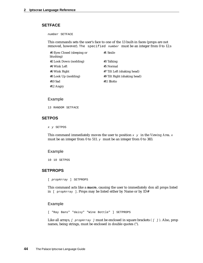# **SETFACE**

number SETFACE

This commands sets the user's face to one of the 13 built-in faces (props are not removed, however). The specified number must be an integer from 0 to 12.s

| #0 Eyes Closed (sleeping or<br>blushing) | #1 Smile                     |
|------------------------------------------|------------------------------|
| #2 Look Down (nodding)                   | #3 Talking                   |
| #4 Wink Left                             | #5 Normal                    |
| #6 Wink Right                            | #7 Tilt Left (shaking head)  |
| #8 Look Up (nodding)                     | #9 Tilt Right (shaking head) |
| $#10$ Sad                                | #11 Blotto                   |
| $#12$ Angry                              |                              |

#### Example

13 RANDOM SETFACE

## **SETPOS**

x y SETPOS

This command immediately moves the user to position x y in the Viewing Area. x must be an integer from 0 to 511.  $<sub>y</sub>$  must be an integer from 0 to 383.</sub>

#### Example

10 10 SETPOS

## **SETPROPS**

[ propArray ] SETPROPS

This command acts like a *macro*, causing the user to immediately don all props listed in [ propArray ]. Props may be listed either by Name or by ID#

#### Example

[ "Ray Bans" "daisy" "Wine Bottle" ] SETPROPS

Like all arrays, [ propArray ] must be enclosed in square brackets *(* [ ] *)*. Also, prop names, being strings, must be enclosed in double quotes (").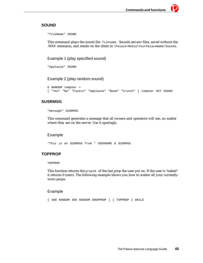## **SOUND**

"fileName" SOUND

This command plays the sound file *filename*. Sounds are way files, saved without the .WAV extension, and reside on the client in \Palace\Media\YourPalaceName\Sounds.

Example 1 (play specified sound)

```
"Applause" SOUND
```
Example 2 (play random sound)

```
6 RANDOM tempVar =
[ "Yes" "No" "Fazein" "Applause" "Boom" "Crunch" ] tempVar GET SOUND
```
## **SUSRMSG**

"message" SUSRMSG

This command generates a message that all owners and operators will see, no matter where they are on the server. Use it sparingly.

## Example

"This is an SUSRMSG from " USERNAME & SUSRMSG

## **TOPPROP**

TOPPROP

This function returns the  $propID$  of the last prop the user put on. If the user is "naked" it returns 0 (zero). The following example shows you how to scatter all your currentlyworn props.

## Example

{ 400 RANDOM 300 RANDOM DROPPROP } { TOPPROP } WHILE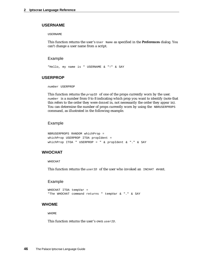## **USERNAME**

USERNAME

This function returns the user's User Name as specified in the **Preferences** dialog. You can't change a user name from a script.

#### Example

"Hello, my name is " USERNAME & "!" & SAY

## **USERPROP**

number USERPROP

This function returns the *propID* of one of the props currently worn by the user. number is a number from 0 to 8 indicating which prop you want to identify (note that this refers to the order they were *donned* in, not necessarily the order they *appear* in). You can determine the number of props currently worn by using the NBRUSERPROPS command, as illustrated in the following example.

#### Example

```
NBRUSERPROPS RANDOM whichProp =
whichProp USERPROP ITOA propIdent =
whichProp ITOA " USERPROP = " & propIdent & "." & SAY
```
## **WHOCHAT**

WHOCHAT

This function returns the user ID of the user who invoked an INCHAT event.

#### Example

```
WHOCHAT ITOA tempVar =
"The WHOCHAT command returns " tempVar & "." & SAY
```
#### **WHOME**

WHOME<sub></sub>

This function returns the user's own userID.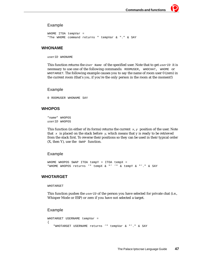## Example

```
WHOME ITOA tempVar =
"The WHOME command returns " tempVar & "." & SAY
```
## **WHONAME**

userID WHONAME

This function returns the User Name of the specified user. Note that to get userID it is necessary to use one of the following commands: ROOMUSER, WHOCHAT, WHOME or WHOTARGET. The following example causes you to say the name of room user 0 (zero) in the current room (that's *you*, if you're the only person in the room at the moment!)

#### Example

0 ROOMUSER WHONAME SAY

## **WHOPOS**

"name" WHOPOS userID WHOPOS

This function (in either of its forms) returns the current  $x, y$  position of the user. Note that  $x$  is placed on the stack before  $y$ , which means that y is ready to be retrieved from the stack first. To reverse their positions so they can be used in their typical order (X, then Y), use the SWAP function.

#### Example

WHOME WHOPOS SWAP ITOA tempY = ITOA tempX = "WHOME WHOPOS returns '" tempX & "' '" & tempY & "'." & SAY

# **WHOTARGET**

#### WHOTARGET

This function pushes the  $userID$  of the person you have selected for private chat (i.e., Whisper Mode or ESP) or zero if you have not selected a target.

```
WHOTARGET USERNAME tempVar =
{ 
   "WHOTARGET USERNAME returns '" tempVar & "'." & SAY
```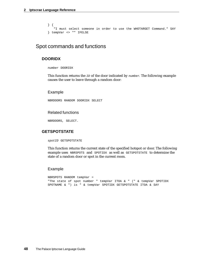```
} {
   "I must select someone in order to use the WHOTARGET Command." SAY 
} tempVar <> "" IFELSE
```
# Spot commands and functions

## **DOORIDX**

number DOORIDX

This function returns the  $ID$  of the door indicated by  $number$ . The following example causes the user to leave through a random door:

#### Example

NBRDOORS RANDOM DOORIDX SELECT

#### Related functions

NBRDOORS, SELECT.

## **GETSPOTSTATE**

spotID GETSPOTSTATE

This function returns the current state of the specified hotspot or door. The following example uses NBRSPOTS and SPOTIDX as well as GETSPOTSTATE to determine the state of a random door or spot in the current room.

```
NBRSPOTS RANDOM tempVar =
"The state of spot number " tempVar ITOA & " (" & tempVar SPOTIDX 
SPOTNAME & ") is " & tempVar SPOTIDX GETSPOTSTATE ITOA & SAY
```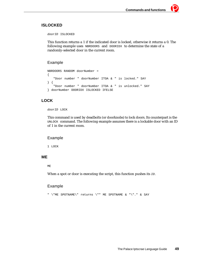# **ISLOCKED**

doorID ISLOCKED

This function returns a 1 if the indicated door is locked, otherwise it returns a 0. The following example uses NBRDOORS and DOORIDX to determine the state of a randomly-selected door in the current room.

# Example

```
NBRDOORS RANDOM doorNumber =
{ 
   "Door number " doorNumber ITOA & " is locked." SAY
} {
   "Door number " doorNumber ITOA & " is unlocked." SAY
} doorNumber DOORIDX ISLOCKED IFELSE
```
# **LOCK**

doorID LOCK

This command is used by deadbolts (or doorknobs) to lock doors. Its counterpart is the UNLOCK command. The following example assumes there is a lockable door with an ID of 1 in the current room.

## Example

1 LOCK

## **ME**

ME

When a spot or door is executing the script, this function pushes its *ID*.

# Example

" \"ME SPOTNAME\" returns \"" ME SPOTNAME & "\"." & SAY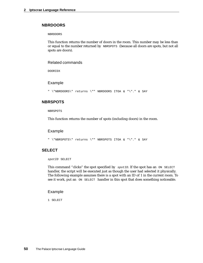## **NBRDOORS**

NBRDOORS

This function returns the number of doors in the room. This number may be less than or equal to the number returned by NBRSPOTS (because all doors are spots, but not all spots are doors).

#### Related commands

DOORIDX

#### Example

```
" \"NBRDOORS\" returns \"" NBRDOORS ITOA & "\"." & SAY
```
## **NBRSPOTS**

NBRSPOTS

This function returns the number of spots (including doors) in the room.

## Example

" \"NBRSPOTS\" returns \"" NBRSPOTS ITOA & "\"." & SAY

## **SELECT**

spotID SELECT

This command "clicks" the spot specified by spotID. If the spot has an ON SELECT handler, the script will be executed just as though the user had selected it physically. The following example assumes there is a spot with an ID of 1 in the current room. To see it work, put an ON SELECT handler in this spot that does something noticeable.

#### Example

1 SELECT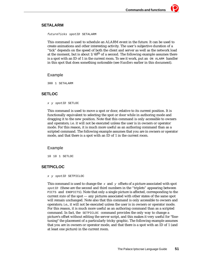## **SETALARM**

futureTicks spotID SETALARM

This command is used to schedule an ALARM event in the future. It can be used to create animations and other interesting activity. The user's subjective duration of a "tick" depends on the speed of both the client and server as well as the network load at the moment, but is about  $1/60^{th}$  of a second. The following example assumes there is a spot with an ID of 1 in the current room. To see it work, put an  $\overline{ON}$  ALARM handler in this spot that does something noticeable (see *Handlers* earlier in this document).

## Example

300 1 SETALARM

# **SETLOC**

x y spotID SETLOC

This command is used to move a spot or door, relative to its current position. It is functionally equivalent to selecting the spot or door while in authoring mode and dragging it to the new position. Note that this command is only accessible to owners and operators; i.e. it will not be executed unless the user is in owners or operator mode. For this reason, it is much more useful as an authoring command than as a scripted command. The following example assumes that you are in owners or operator mode, and that there is a spot with an ID of 1 in the current room.

## Example

10 10 1 SETLOC

# **SETPICLOC**

#### x y spotID SETPICLOC

This command is used to change the  $x$  and  $y$  offsets of a picture associated with spot spotID (these are the second and third numbers in the "triplets" appearing between PICTS and ENDPICTS). Note that only a single picture is affected, corresponding to the current *state* of the spot — any pictures associated with other states of the same spot will remain unchanged. Note also that this command is only accessible to owners and operators; i.e., it will not be executed unless the user is in owners or operator mode. For this reason, it is much more useful as an authoring command than as a scripted command. In fact, the SETPICLOC command provides the only way to change a picture's offset without editing the server script, and this makes it very useful for "finetuning" the placement of a particularly tricky graphic. The following example assumes that you are in owners or operator mode, and that there is a spot with an ID of 1 (and at least one picture) in the current room.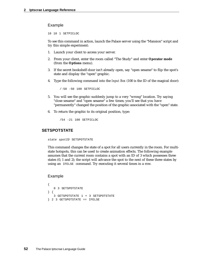#### Example

10 10 1 SETPICLOC

To see this command in action, launch the Palace server using the "Mansion" script and try this simple experiment:

- 1. Launch your client to access your server.
- 2. From your client, enter the room called "The Study" and enter **Operator mode** (from the **Options** menu).
- 3. If the secret bookshelf-door isn't already open, say "open sesame" to flip the spot's state and display the "open" graphic.
- 4. Type the following command into the *Input Box* (100 is the ID of the magical door):

/-50 -50 100 SETPICLOC

- 5. You will see the graphic suddenly jump to a very "wrong" location. Try saying "close sesame" and "open sesame" a few times; you'll see that you have "permanently" changed the position of the graphic associated with the "open" state.
- 6. To return the graphic to its original position, type:

/54 -21 100 SETPICLOC

## **SETSPOTSTATE**

state spotID SETSPOTSTATE

This command changes the state of a spot for all users currently in the room. For multistate hotspots, this can be used to create animation effects. The following example assumes that the current room contains a spot with an ID of 3 which possesses three states (0, 1 and 2); the script will advance the spot to the next of these three states by using an IFELSE command. Try executing it several times in a row.

```
{ 
   0 3 SETSPOTSTATE 
} { 
   3 GETSPOTSTATE 1 + 3 SETSPOTSTATE 
} 2 3 GETSPOTSTATE == IFELSE
```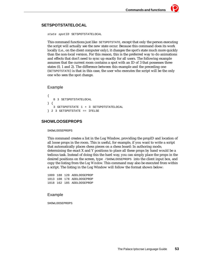# **SETSPOTSTATELOCAL**

```
state spotID SETSPOTSTATELOCAL
```
This command functions just like SETSPOTSTATE, except that only the person executing the script will actually see the new state occur. Because this command does its work locally (i.e., on the client computer only), it changes the spot's state much more quickly than the non-local version. For this reason, this is the preferred way to do animations and effects that don't need to sync up exactly for all users. The following example assumes that the current room contains a spot with an ID of 3 that possesses three states (0, 1 and 2). The difference between this example and the preceding one (SETSPOTSTATE) is that in this case, the user who executes the script will be the only one who sees the spot change.

#### Example

```
{ 
   0 3 SETSPOTSTATELOCAL
} { 
   3 GETSPOTSTATE 1 + 3 SETSPOTSTATELOCAL
} 2 3 GETSPOTSTATE == IFELSE
```
# **SHOWLOOSEPROPS**

SHOWLOOSEPROPS

This command creates a list in the Log Window, providing the propID and location of all loose props in the room. This is useful, for example, if you want to write a script that automatically places chess pieces on a chess board: In authoring mode, determining the exact X and Y positions to place all these props by hand would be a tedious task. Instead of doing this the hard way, you can simply place the props in the desired positions on the screen, type /SHOWLOOSEPROPS into the client input box, and copy the listing from the *Log Window*. This command may also be executed from within a script. The listing in the Log Window will follow the format shown below:

1009 188 120 ADDLOOSEPROP 1013 108 178 ADDLOOSEPROP 1018 162 185 ADDLOOSEPROP

#### Example

SHOWLOOSEPROPS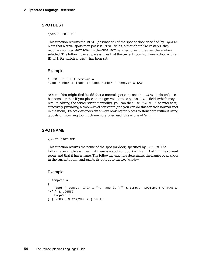## **SPOTDEST**

spotID SPOTDEST

This function returns the DEST (destination) of the spot or door specified by  $spotID$ . Note that *Normal* spots may possess DEST fields, although unlike *Passages*, they require a scripted GOTOROOM in the ONSELECT handler to send the user there when selected. The following example assumes that the current room contains a door with an ID of 1, for which a DEST has been set:

#### Example

```
1 SPOTDEST ITOA tempVar =
"Door number 1 leads to Room number " tempVar & SAY
```
NOTE – You might find it odd that a normal spot can contain a  $DEF$  it doesn't use, but consider this: if you place an integer value into a spot's  $DEF$  field (which may require editing the server script manually), you can then use  $SPOTDEF$  to refer to it, effectively providing a "room-level constant" (and you can do this for each normal spot in the room). Palace designers are always looking for places to store data without using globals or incurring too much memory overhead; this is one of 'em.

## **SPOTNAME**

spotID SPOTNAME

This function returns the name of the spot (or door) specified by  $s_{potID}$ . The following example assumes that there is a spot (or door) with an ID of 1 in the current room, and that it has a name. The following example determines the names of all spots in the current room, and prints its output to the *Log Window*.

```
0 tempVar =
{ 
   "Spot " tempVar ITOA & "'s name is \"" & tempVar SPOTIDX SPOTNAME & 
"\"." & LOGMSG
   tempVar ++
} { NBRSPOTS tempVar > } WHILE
```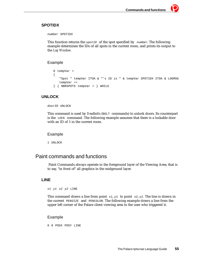# **SPOTIDX**

number SPOTIDX

This function returns the  $spectID$  of the spot specified by number. The following example determines the IDs of all spots in the current room, and prints its output to the *Log Window*.

## Example

```
0 tempVar =
{ 
   "Spot " tempVar ITOA & "'s ID is " & tempVar SPOTIDX ITOA & LOGMSG
   tempVar ++
} { NBRSPOTS tempVar > } WHILE
```
# **UNLOCK**

doorID UNLOCK

This command is used by *Deadbolts* (BOLT commands) to unlock doors. Its counterpart is the LOCK command. The following example assumes that there is a lockable door with an ID of 1 in the current room.

## Example

1 UNLOCK

# Paint commands and functions

 Paint Commands always operate in the foreground layer of the Viewing Area; that is to say, "in front of" all graphics in the midground layer.

# **LINE**

#### x1 y1 x2 y2 LINE

This command draws a line from point  $x_1, y_1$  to point  $x_2, y_2$ . The line is drawn in the current PENSIZE and PENCOLOR. The following example draws a line from the upper left corner of the Palace client viewing area to the user who triggered it.

## Example

0 0 POSX POSY LINE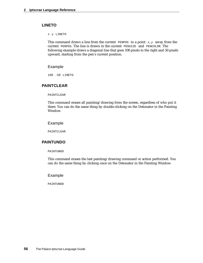## **LINETO**

x y LINETO

This command draws a line from the current PENPOS to a point  $x,y$  away from the current PENPOS. The line is drawn in the current PENSIZE and PENCOLOR. The following example draws a diagonal line that goes 100 pixels to the right and 50 pixels upward, starting from the pen's current position.

#### Example

100 -50 LINETO

## **PAINTCLEAR**

PAINTCLEAR

This command erases all painting/drawing from the screen, regardless of who put it there. You can do the same thing by double-clicking on the Detonator in the Painting Window*.*

#### Example

PAINTCLEAR

## **PAINTUNDO**

PAINTUNDO

This command erases the last painting/drawing command or action performed. You can do the same thing by clicking once on the Detonator in the Painting Window.

#### Example

PATNTUNDO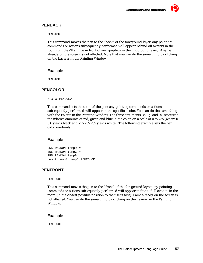# **PENBACK**

PENBACK

This command moves the pen to the "back" of the foreground layer: any painting commands or actions subsequently performed will appear behind all avatars in the room (but they'll still be in front of any graphics in the midground layer). Any paint already on the screen is not affected. Note that you can do the same thing by clicking on the Layerer in the Painting Window.

#### Example

PENBACK

## **PENCOLOR**

r g b PENCOLOR

This command sets the color of the pen: any painting commands or actions subsequently performed will appear in the specified color. You can do the same thing with the Palette in the Painting Window. The three arguments  $r, g$  and b represent the relative amounts of red, green and blue in the color, on a scale of 0 to 255 (where 0 0 0 yields black and 255 255 255 yields white). The following example sets the pen color randomly.

## Example

255 RANDOM tempR = 255 RANDOM tempG = 255 RANDOM tempB = tempR tempG tempB PENCOLOR

## **PENFRONT**

PENFRONT

This command moves the pen to the "front" of the foreground layer: any painting commands or actions subsequently performed will appear in front of all avatars in the room (in the closest possible position to the user's face). Paint already on the screen is not affected. You can do the same thing by clicking on the Layerer in the Painting Window.

#### Example

PENFRONT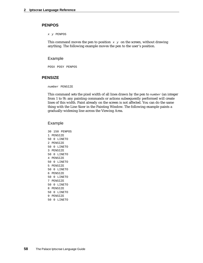## **PENPOS**

#### x y PENPOS

This command moves the pen to position  $x \, y$  on the screen, without drawing anything. The following example moves the pen to the user's position.

#### Example

POSX POSY PENPOS

## **PENSIZE**

number PENSIZE

This command sets the pixel width of all lines drawn by the pen to  $number$  (an integer from 1 to 9): any painting commands or actions subsequently performed will create lines of this width. Paint already on the screen is not affected. You can do the same thing with the Line Sizer in the Painting Window. The following example paints a gradually-widening line across the Viewing Area.

#### Example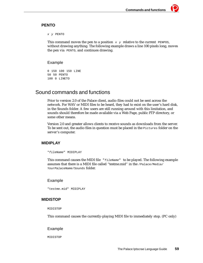## **PENTO**

x y PENTO

This command moves the pen to a position  $x \, y$  relative to the current PENPOS, without drawing anything. The following example draws a line 100 pixels long, moves the pen via PENTO, and continues drawing.

## Example

```
0 150 100 150 LINE
50 50 PENTO
100 0 LINETO
```
# Sound commands and functions

Prior to version 2.0 of the Palace client, audio files could not be sent across the network. For WAV or MIDI files to be heard, they had to exist on the user's hard disk, in the Sounds folder. A few users are still running around with this limitation, and sounds should therefore be made available via a Web Page, public FTP directory, or some other means.

Version 2.0 and greater allows clients to receive sounds as downloads from the server. To be sent out, the audio files in question must be placed in the Pictures folder on the server's computer.

# **MIDIPLAY**

"fileName" MIDIPLAY

This command causes the MIDI file  $"fileName"$  to be played. The following example assumes that there is a MIDI file called "testme.mid" in the /Palace/Media/ YourPalaceName/Sounds folder.

## Example

"testme.mid" MIDIPLAY

## **MIDISTOP**

MIDISTOP

This command causes the currently-playing MIDI file to immediately stop. (PC only)

Example

MIDISTOP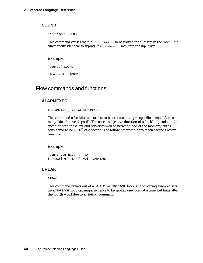## **SOUND**

"fileName" SOUND

This command causes the file "fileName" to be played for all users in the room. It is functionally identical to typing ") filename" SAY into the *Input Box*.

Example

"teehee" SOUND

"Song.midi" SOUND

# Flow commands and functions

## **ALARMEXEC**

{ atomlist } ticks ALARMEXEC

This command schedules an *atomlist* to be executed at a pre-specified time (after so many "ticks" have elapsed). The user's subjective duration of a "tick" depends on the speed of both the client and server as well as network load at the moment, but is considered to be  $1/60^{th}$  of a second. The following example waits ten seconds before finishing.

#### Example

```
"Don't you hate..." SAY
{ "waiting?" SAY } 600 ALARMEXEC
```
# **BREAK**

BREAK

This command breaks out of a WHILE or FOREACH loop. The following example sets up a FOREACH loop causing a sentence to be spoken one word at a time, but halts after the fourth word due to a BREAK command.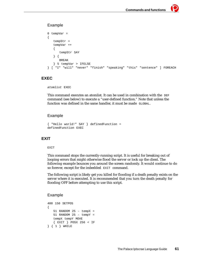# Example

```
0 tempVar =
{ 
   tempStr =
   tempVar ++
   { 
      tempStr SAY
   } { 
      BREAK
   } 5 tempVar > IFELSE
} [ "I" "will" "never" "finish" "speaking" "this" "sentence" ] FOREACH
```
## **EXEC**

```
atomlist EXEC
```
This command executes an atomlist. It can be used in combination with the  $DEF$ command (see below) to execute a "user-defined function." Note that unless the function was defined in the same handler, it must be made GLOBAL.

# Example

```
{ "Hello world!" SAY } definedFunction =
definedFunction EXEC
```
# **EXIT**

#### EXIT

This command stops the currently-running script. It is useful for breaking out of looping errors that might otherwise flood the server or lock up the client. The following example bounces you around the screen randomly. It would continue to do so forever, except for the imbedded EXIT command.

The following script is likely get you killed for flooding if a death penalty exists on the server where it is executed. It is recommended that you turn the death penalty for flooding OFF before attempting to use this script.

```
400 150 SETPOS
{ 
   51 RANDOM 25 - tempX =
   51 RANDOM 25 - tempY =
   tempX tempY MOVE
   { EXIT } POSX 256 < IF
} { 1 } WHILE
```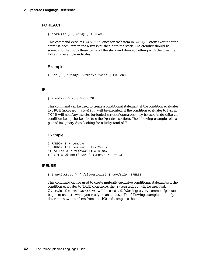## **FOREACH**

{ atomlist } [ array ] FOREACH

This command executes atomlist once for each item in array. Before executing the atomlist, each item in the array is pushed onto the stack. The atomlist should be something that pops these items off the stack and does something with them, as the following example indicates.

#### Example

```
{ SAY } [ "Ready" "Steady" "Go!" ] FOREACH
```
## **IF**

```
{ atomlist } condition IF
```
This command can be used to create a conditional statement: if the condition evaluates to TRUE (non-zero), atomlist will be executed. If the condition evaluates to FALSE ("0") it will not. Any *operator (*or logical series of operators) may be used to describe the condition being checked for (see the *Operators* section). The following example rolls a pair of imaginary dice, looking for a lucky total of 7.

#### Example

```
6 RANDOM 1 + tempVar =
6 RANDOM 1 + tempVar + tempVar =
"I rolled a " tempVar ITOA & SAY
{ 'T'm a winner!'' SAY } temperVar 7 = IF
```
## **IFELSE**

{ trueAtomList } { falseAtomList } condition IFELSE

This command can be used to create mutually-exclusive conditional statements: if the condition evaluates to TRUE (non-zero), the trueatomlist will be executed. Otherwise, the  $f$ alseatomlist will be executed. Warning: a very common Iptscrae bug is to use IF when you really mean IFELSE. The following example randomly determines two numbers from 1 to 100 and compares them.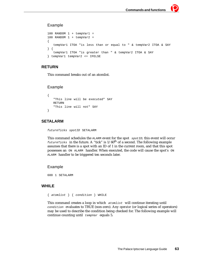## Example

```
100 RANDOM 1 + tempVar1 =
100 RANDOM 1 + tempVar2 =
{ 
   tempVar1 ITOA "is less than or equal to " & tempVar2 ITOA & SAY
} { 
   tempVar1 ITOA "is greater than " & tempVar2 ITOA & SAY
} tempVar1 tempVar2 <= IFELSE
```
## **RETURN**

This command breaks out of an atomlist.

## Example

```
{ 
   "This line will be executed" SAY
   RETURN
   "This line will not" SAY
}
```
# **SETALARM**

futureTicks spotID SETALARM

This command schedules the ALARM event for the spot spotID*;* this event will occur  $futureTicks$  in the future. A "tick" is  $1/60$ <sup>th</sup> of a second. The following example assumes that there is a spot with an ID of 1 in the current room, and that this spot possesses an ON ALARM handler. When executed, the code will cause the spot's ON ALARM handler to be triggered ten seconds later.

## Example

600 1 SETALARM

# **WHILE**

 $\{$  atomlist  $\}$   $\{$  condition  $\}$  WHILE

This command creates a loop in which atomlist will continue iterating until condition evaluates to TRUE (non-zero). Any *operator* (or logical series of operators) may be used to describe the condition being checked for. The following example will continue counting until  $tempVar$  equals 5.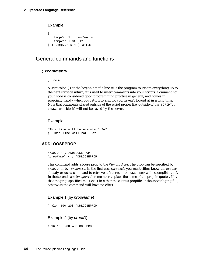#### Example

```
{ 
   tempVar 1 + tempVar =
   tempVar ITOA SAY
} { tempVar 5 < } WHILE
```
# General commands and functions

#### **; <comment>**

; comment

A semicolon (;) at the beginning of a line tells the program to ignore everything up to the next carriage return; it is used to insert comments into your scripts. Commenting your code is considered good programming practice in general, and comes in especially handy when you return to a script you haven't looked at in a long time. Note that comments placed outside of the script proper (i.e. outside of the SCRIPT... ENDSCRIPT block) will not be saved by the server.

#### Example

```
"This line will be executed" SAY
; "This line will not" SAY
```
#### **ADDLOOSEPROP**

propID x y ADDLOOSEPROP "propName" x y ADDLOOSEPROP

This command adds a loose prop to the *Viewing Area*. The prop can be specified by propID or by propName. In the first case (propID), you must either know the propID already or use a command to retrieve it (TOPPROP or USERPROP will accomplish this). In the second case  $(p_{\text{topName}})$ , remember to place the name of the prop in quotes. Note that the prop specified must exist in either the client's propfile or the server's propfile; otherwise the command will have no effect.

#### Example 1 (by propName)

```
"halo" 100 200 ADDLOOSEPROP
```
Example 2 (by propID)

1016 100 200 ADDLOOSEPROP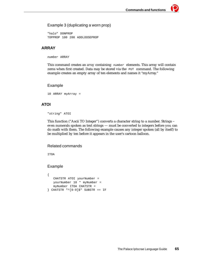## Example 3 (duplicating a worn prop)

"halo" DONPROP TOPPROP 100 200 ADDLOOSEPROP

# **ARRAY**

number ARRAY

This command creates an *array* containing number elements. This array will contain zeros when first created. Data may be stored via the PUT command. The following example creates an empty array of ten elements and names it "myArray."

#### Example

10 ARRAY myArray =

## **ATOI**

"string" ATOI

This function ("Ascii TO Integer") converts a character string to a number. Strings – even numerals spoken as text strings — must be converted to integers before you can do math with them. The following example causes any integer spoken (all by itself) to be multiplied by ten before it appears in the user's cartoon balloon.

#### Related commands

ITOA

```
{ 
   CHATSTR ATOI yourNumber =
   yourNumber 10 * myNumber =
   myNumber ITOA CHATSTR =
} CHATSTR "^[0-9]$" SUBSTR == IF
```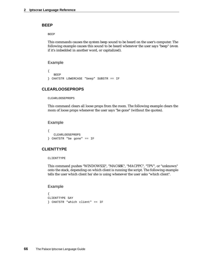#### **BEEP**

BEEP

This commands causes the system beep sound to be heard on the user's computer. The following example causes this sound to be heard whenever the user says "beep" (even if it's imbedded in another word, or capitalized).

#### Example

```
{ 
   BEEP
} CHATSTR LOWERCASE "beep" SUBSTR == IF
```
# **CLEARLOOSEPROPS**

```
CLEARLOOSEPROPS
```
This command clears all loose props from the room. The following example clears the room of loose props whenever the user says "be gone" (without the quotes).

#### Example

```
{
   CLEARLOOSEPROPS
} CHATSTR "be gone" == IF
```
## **CLIENTTYPE**

CLIENTTYPE

This command pushes "WINDOWS32", "MAC68K", "MACPPC", "TPV", or "unknown" onto the stack, depending on which client is running the script. The following example tells the user which client he/she is using whenever the user asks "which client".

```
{
CLIENTTYPE SAY
} CHATSTR "which client" == IF
```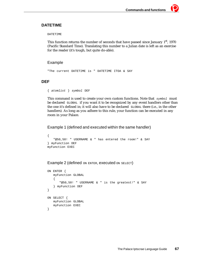## **DATETIME**

#### DATETIME

This function returns the number of seconds that have passed since January  $1<sup>st</sup>$ , 1970 (Pacific Standard Time). Translating this number to a Julian date is left as an exercise for the reader (it's tough, but quite do-able).

#### Example

"The current DATETIME is " DATETIME ITOA & SAY

## **DEF**

```
{ atomlist } symbol DEF
```
This command is used to create your own custom functions. Note that  $symbo1$  must be declared GLOBAL if you want it to be recognized by any event handlers other than the one it's defined in; it will also have to be declared GLOBAL there (i.e., in the other handlers)*.* As long as you adhere to this rule, your function can be executed in any room in your Palace.

Example 1 (defined and executed within the same handler)

```
{ 
   "@50,50! " USERNAME & " has entered the room!" & SAY 
} myFunction DEF
myFunction EXEC
```
Example 2 (defined ON ENTER, executed ON SELECT)

```
ON ENTER {
   myFunction GLOBAL
   { 
       "@50,50! " USERNAME & " is the greatest!" & SAY 
   } myFunction DEF
}
ON SELECT {
   myFunction GLOBAL
   myFunction EXEC
}
```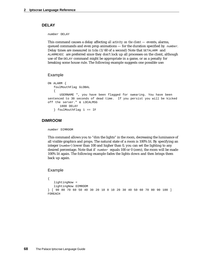#### **DELAY**

number DELAY

This command causes a delay affecting *all activity on the client —* events, alarms, queued commands and even prop animations — for the duration specified by  $number$ . Delay times are measured in *ticks* (1/60 of a second) Note that SETALARM and ALARMEXEC are preferred since they don't lock up all processes on the client, although use of the DELAY command might be appropriate in a game, or as a penalty for breaking some house rule. The following example suggests one possible use:

#### Example

```
ON ALARM {
   foulMouthFlag GLOBAL
   { 
      USERNAME ", you have been flagged for swearing. You have been 
sentenced to 30 seconds of dead time. If you persist you will be kicked 
off the server." & LOCALMSG
      1800 DELAY
   } foulMouthFlag 1 == IF
```
## **DIMROOM**

number DIMROOM

This command allows you to "dim the lights" in the room, decreasing the luminance of all visible graphics and props. The natural state of a room is 100% lit. By specifying an integer ( $number$ ) lower than 100 and higher than 0, you can set the lighting to any desired percentage. Note that if  $number$  equals 100 or 0 (zero), the room will be made 100% lit again. The following example fades the lights down and then brings them back up again.

```
{ 
   lightingNow = 
   lightingNow DIMROOM 
} [ 90 80 70 60 50 40 30 20 10 0 10 20 30 40 50 60 70 80 90 100 ] 
FOREACH
```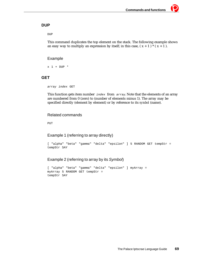## **DUP**

DUP

This command duplicates the top element on the stack. The following example shows an easy way to multiply an expression by itself; in this case,  $(x + 1)*(x + 1)$ .

Example

 $x$  1 + DUP  $*$ 

## **GET**

```
array index GET
```
This function gets item number  $index from array$ . Note that the elements of an array are numbered from 0 (zero) to (number of elements minus 1). The array may be specified directly (element by element) or by reference to its *symbol* (name).

# Related commands

PUT

# Example 1 (referring to array directly)

```
[ "alpha" "beta" "gamma" "delta" "epsilon" ] 5 RANDOM GET tempStr =
tempStr SAY
```
# Example 2 (referring to array by its Symbol)

```
[ "alpha" "beta" "gamma" "delta" "epsilon" ] myArray =
myArray 5 RANDOM GET tempStr =
tempStr SAY
```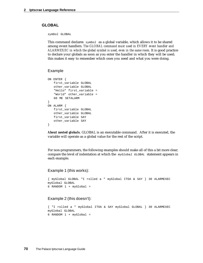#### **GLOBAL**

symbol GLOBAL

This command declares  $symbo1$  as a global variable, which allows it to be shared among event handlers. *The GLOBAL command must used in EVERY event handler and ALARMEXEC in which the global symbol is used, even in the same room.* It is good practice to declare your globals as soon as you enter the handler in which they will be used; this makes it easy to remember which ones you need and what you were doing.

#### Example

```
ON ENTER {
   first_variable GLOBAL
   other_variable GLOBAL
   "Hello" first_variable =
   "World" other_variable =
   60 ME SETALARM
}
ON ALARM {
   first_variable GLOBAL
   other_variable GLOBAL
   first_variable SAY
   other_variable SAY
}
```
*About nested globals.* GLOBAL is an executable command. After it is executed, the variable will operate as a global value for the rest of the script.

For non-programmers, the following examples should make all of this a bit more clear; compare the level of indentation at which the myGlobal GLOBAL statement appears in each example.

#### Example 1 (this works):

```
{ myGlobal GLOBAL "I rolled a " myGlobal ITOA & SAY } 30 ALARMEXEC 
myGlobal GLOBAL 
6 RANDOM 1 + myGlobal =
```
#### Example 2 (this doesn't):

```
{ "I rolled a " myGlobal ITOA & SAY myGlobal GLOBAL } 30 ALARMEXEC 
myGlobal GLOBAL 
6 RANDOM 1 + myGlobal =
```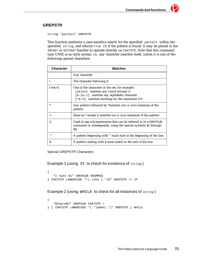# **GREPSTR**

string "pattern" GREPSTR

This function performs a case-sensitive search for the specified pattern within the specified  $string$ , and returns true (1) if the pattern is found. It may be placed in the INCHAT or OUTCHAT handler to operate directly on CHATSTR. Note that this command uses UNIX grep-style syntax; i.e., any character matches itself, unless it is one of the following special characters:

| <b>Character</b> | Matches                                                                                                                                                                                         |
|------------------|-------------------------------------------------------------------------------------------------------------------------------------------------------------------------------------------------|
|                  | Any character                                                                                                                                                                                   |
|                  | The character following it                                                                                                                                                                      |
| $[<\text{set}>]$ | One of the characters in the set, for example:<br>[aeiou] matches any vowel (except y)<br>[A-Za-z] matches any alphabetic character<br>$[$ ^0-9] matches anything <i>but</i> the characters 0-9 |
| *                | Any pattern followed by *matches zero or more instances of the<br>pattern.                                                                                                                      |
| $^{+}$           | Same as * except it matches one or more instances of the pattern.                                                                                                                               |
|                  | Used to tag sub-expressions that can be referred to in a GREPSUB<br>command or subsequently, using the special symbols \$1 through<br>S9.                                                       |
| Λ                | A pattern beginning with $\wedge$ must start at the beginning of the line.                                                                                                                      |
| s                | A pattern ending with \$ must match to the end of the line.                                                                                                                                     |

Special GREPSTR Characters

Example 1 (using IF to check for existence of  $string$ )

```
{ 
   "I hate $1" GREPSUB ROOMMSG
} CHATSTR LOWERCASE "^i like (.*)$" GREPSTR == IF
```
Example 2 (using WHILE to check for all instances of  $string$ )

```
{ 
   "$1darn$2" GREPSUB CHATSTR = 
} { CHATSTR LOWERCASE "(.*)damn(.*)" GREPSTR } WHILE
```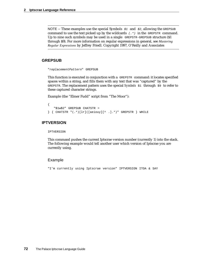NOTE – These examples use the special Symbols  $\sharp$ 1 and  $\sharp$ 2, allowing the GREPSUB command to use the text picked up by the wildcards  $(\cdot, \cdot)$  in the GREPSTR command. Up to nine such symbols may be used in a single GREPSTR-GREPSUB structure (\$1 through \$9). For more information on regular expressions in general, see *Mastering Regular Expressions* by Jeffrey Friedl. Copyright 1997, O'Reilly and Associates

# **GREPSUB**

"replacementPattern" GREPSUB

This function is executed in conjunction with a GREPSTR command: it locates specified spaces within a string, and fills them with any text that was "captured" by the GREPSTR. The replacement pattern uses the special *Symbols* \$1 through \$9 to refer to these captured character strings.

Example (the "Elmer Fudd" script from "The Moor"):

```
{ 
   "$1w$2" GREPSUB CHATSTR = 
\} { CHATSTR "(.*)[lr]([aeiouy][^ .].*)" GREPSTR } WHILE
```
# **IPTVERSION**

#### IPTVERSION

This command pushes the current Iptscrae version number (currently 1) into the stack. The following example would tell another user which version of Iptscrae you are currently using.

#### Example

"I'm currently using Iptscrae version" IPTVERSION ITOA & SAY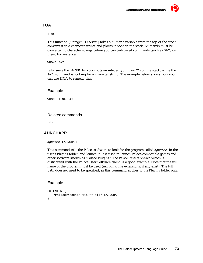# **ITOA**

ITOA

This function ("Integer TO Ascii") takes a numeric variable from the top of the stack, converts it to a character string, and places it back on the stack. Numerals must be converted to character strings before you can text-based commands (such as SAY) on them. For instance,

WHOME SAY

fails, since the  $WHOME$  function puts an integer (your  $userID$ ) on the stack, while the SAY command is looking for a character string. The example below shows how you can use ITOA to remedy this.

#### Example

WHOME ITOA SAY

# Related commands

ATOI

# **LAUNCHAPP**

appName LAUNCHAPP

This command tells the Palace software to look for the program called appName in the user's *PlugIns* folder, and launch it. It is used to launch Palace-compatible games and other software known as "Palace Plugins." The *PalacePresents Viewer,* which is distributed with the Palace User Software client, is a good example. Note that the full name of the program must be used (including file extensions, if any exist). The full path does *not* need to be specified, as this command applies to the *Plugins* folder only.

# Example

```
ON ENTER {
   "PalacePresents Viewer.dll" LAUNCHAPP
}
```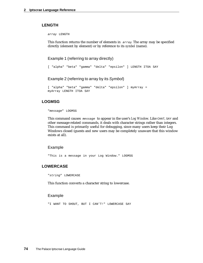#### **LENGTH**

array LENGTH

This function returns the number of elements in  $\frac{array}{\pi}$ . The array may be specified directly (element by element) or by reference to its *symbol* (name).

Example 1 (referring to array directly)

```
[ "alpha" "beta" "gamma" "delta" "epsilon" ] LENGTH ITOA SAY
```
Example 2 (referring to array by its Symbol)

```
[ "alpha" "beta" "gamma" "delta" "epsilon" ] myArray =
myArray LENGTH ITOA SAY
```
# **LOGMSG**

"message" LOGMSG

This command causes message to appear in the user's *Log Window*. Like CHAT, SAY and other message-related commands, it deals with character strings rather than integers. This command is primarily useful for debugging, since many users keep their Log Windows closed (guests and new users may be completely unaware that this window exists at all).

#### Example

"This is a message in your Log Window." LOGMSG

# **LOWERCASE**

"string" LOWERCASE

This function converts a character string to lowercase.

#### Example

"I WANT TO SHOUT, BUT I CAN'T!" LOWERCASE SAY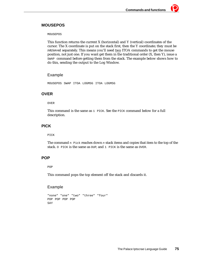# **MOUSEPOS**

MOUSEPOS

This function returns the current X (horizontal) and Y (vertical) coordinates of the cursor. The X coordinate is put on the stack first, then the Y coordinate; they must be retrieved separately. This means you'll need two ITOA commands to get the mouse position, not just one. If you want get them in the traditional order (X, then Y), issue a SWAP command before getting them from the stack. The example below shows how to do this, sending the output to the Log Window.

#### Example

MOUSEPOS SWAP ITOA LOGMSG ITOA LOGMSG

# **OVER**

OVER

This command is the same as 1 PICK. See the PICK command below for a full description.

# **PICK**

PICK

The command n Pick reaches down n stack items and copies that item to the top of the stack. O PICK is the same as DUP, and 1 PICK is the same as OVER.

# **POP**

POP

This command pops the top element off the stack and discards it.

# Example

```
"none" "one" "two" "three" "four"
POP POP POP POP
SAY
```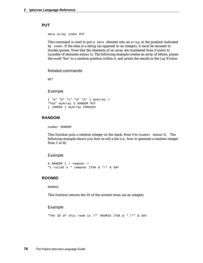#### **PUT**

data array index PUT

This command is used to put a data element into an array, in the position indicated by index. If the data is a string (as opposed to an integer), it must be encased in double quotes. Note that the elements of an array are numbered from 0 (zero) to (number of elements minus 1). The following example creates an array of letters, places the word "foo" in a random position within it, and prints the results in the *Log Window*.

#### Related commands

GET

#### Example

[ "a" "b" "c" "d" "e" ] myArray = "foo" myArray 5 RANDOM PUT { LOGMSG } myArray FOREACH

# **RANDOM**

number RANDOM

This function puts a random integer on the stack, from 0 to  $(number$  minus 1). The following example shows you how to roll a die (i.e., how to generate a random integer from 1 to 6):

#### Example

```
6 RANDOM 1 + tempVar =
"I rolled a " tempVar ITOA & "!" & SAY
```
#### **ROOMID**

ROOMID

This function returns the ID of the current room (as an integer).

#### Example

"The ID of this room is \"" ROOMID ITOA & ".\"" & SAY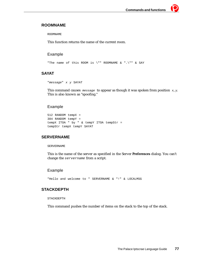# **ROOMNAME**

ROOMNAME

This function returns the name of the current room.

# Example

"The name of this ROOM is \"" ROOMNAME & ".\"" & SAY

# **SAYAT**

```
"message" x y SAYAT
```
This command causes  $\mathsf{message}$  to appear as though it was spoken from position  $x,y$ . This is also known as "spoofing."

# Example

```
512 RANDOM tempX =
384 RANDOM tempY =
tempX ITOA " by " & tempY ITOA tempStr =
tempStr tempX tempY SAYAT
```
# **SERVERNAME**

#### SERVERNAME

This is the name of the server as specified in the Server **Preferences** dialog. You can't change the servername from a script.

# Example

"Hello and welcome to " SERVERNAME & "!" & LOCALMSG

# **STACKDEPTH**

STACKDEPTH

This command pushes the number of items on the stack to the top of the stack.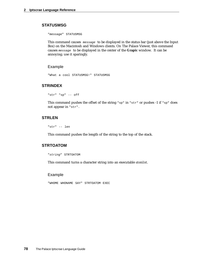# **STATUSMSG**

"message" STATUSMSG

This command causes message to be displayed in the status bar (just above the Input Box) on the Macintosh and Windows clients. On The Palace Viewer, this command causes message to be displayed in the center of the **Grapic** window. It can be annoying; use it sparingly.

#### Example

"What a cool STATUSMSG!" STATUSMSG

# **STRINDEX**

"str" "sp" -- off

This command pushes the offset of the string " $sp$ " in " $str$ " or pushes -1 if " $sp$ " does not appear in "str".

#### **STRLEN**

"str" -- len

This command pushes the length of the string to the top of the stack.

#### **STRTOATOM**

"string" STRTOATOM

This command turns a character string into an executable *atomlist*.

#### Example

"WHOME WHONAME SAY" STRTOATOM EXEC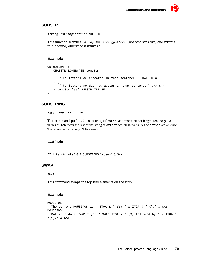#### **SUBSTR**

```
string "stringpattern" SUBSTR
```
This function searches string for stringpattern (not case-sensitive) and returns 1 if it is found; otherwise it returns a 0.

## Example

```
ON OUTCHAT {
   CHATSTR LOWERCASE tempStr =
   {
       "The letters ae appeared in that sentence." CHATSTR =
   } { 
       "The letters ae did not appear in that sentence." CHATSTR =
   } tempStr "ae" SUBSTR IFELSE
}
```
# **SUBSTRING**

"str" off len -- "f"

This command pushes the substring of "str" at offset off for length len. Negative values of len mean the rest of the string at offset off. Negative values of offset are an error. The example below says "I like roses".

#### Example

"I like violets" 0 7 SUBSTRING "roses" & SAY

#### **SWAP**

SWAP

This command swaps the top two elements on the stack.

#### Example

```
MOUSEPOS 
  "The current MOUSEPOS is " ITOA & " (Y) " & ITOA & "(X)." & SAY
MOUSEPOS 
  "But if I do a SWAP I get " SWAP ITOA & " (X) followed by " & ITOA & 
"(Y)." & SAY
```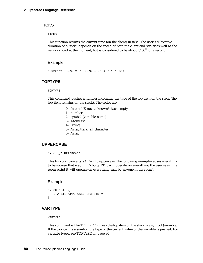#### **TICKS**

TICKS

This function returns the current time (on the client) in *ticks*. The user's subjective duration of a "tick" depends on the speed of both the client and server as well as the network load at the moment, but is considered to be about  $1/60^{th}$  of a second.

#### Example

"Current TICKS = " TICKS ITOA & "." & SAY

# **TOPTYPE**

TOPTYPE

This command pushes a number indicating the type of the top item on the stack (the top item remains on the stack). The codes are

- 0 Internal Error/unknown/stack empty
- 1 number
- 2 symbol (variable name)
- 3 AtomList
- 4 String
- 5 ArrayMark (a [ character)
- 6 Array

## **UPPERCASE**

```
"string" UPPERCASE
```
This function converts  $string$  to uppercase. The following example causes everything to be spoken that way (in Cyborg.IPT it will operate on everything the user says; in a room script it will operate on everything said by anyone in the room).

#### Example

```
ON OUTCHAT {
   CHATSTR UPPERCASE CHATSTR =
}
```
# **VARTYPE**

VARTYPE

This command is like TOPTYPE, unless the top item on the stack is a symbol (variable). If the top item is a symbol, the type of the current value of the variable is pushed. For variable types, see TOPTYPE on page 80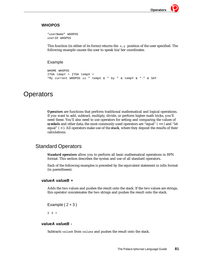# **WHOPOS**

"userName" WHOPOS userID WHOPOS

This function (in either of its forms) returns the  $x, y$  position of the user specified. The following example causes the user to speak his/her coordinates.

## Example

```
WHOME WHOPOS 
ITOA tempY = ITOA tempX =
"My current WHOPOS is " tempX & " by " & tempY & "." & SAY
```
# **Operators**

*Operators* are functions that perform traditional mathematical and logical operations. If you want to add, subtract, multiply, divide, or perform higher math tricks, you'll need these. You'll also need to use operators for setting and comparing the values of *symbols* and other data; the most commonly-used operators are "equal" (== ) and "let equal" ( = ). All operators make use of the *stack*, where they deposit the results of their calculations.

# Standard Operators

*Standard operators* allow you to perform all basic mathematical operations in RPN format. This section describes the syntax and use of all standard operators.

Each of the following examples is preceded by the equivalent statement in infix format (in parentheses).

#### **valueA valueB +**

Adds the two values and pushes the result onto the stack. If the two values are strings, this operator concatenates the two strings and pushes the result onto the stack.

```
Example (2+3)
```
2 3 +

#### **valueA valueB -**

Subtracts valueb from valuea and pushes the result onto the stack.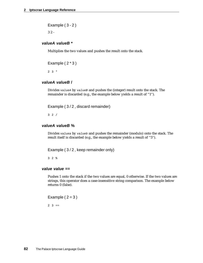Example ( 3 - 2 )

3 2 -

## **valueA valueB \***

Multiplies the two values and pushes the result onto the stack.

Example  $(2 * 3)$ 

2 3 \*

# **valueA valueB /**

Divides valueA by valueB and pushes the (integer) result onto the stack. The remainder is discarded (e.g., the example below yields a result of "1").

Example ( 3 / 2 , discard remainder)

3 2 /

#### **valueA valueB %**

Divides valuea by valueb and pushes the remainder (modulo) onto the stack. The result itself is discarded (e.g., the example below yields a result of "5").

Example (3/2, keep remainder only)

3 2 %

## **value value ==**

Pushes 1 onto the stack if the two values are equal, 0 otherwise. If the two values are strings, this operator does a case-insensitive string comparison. The example below returns 0 (false).

Example  $(2=3)$ 

 $2 \ 3 ==$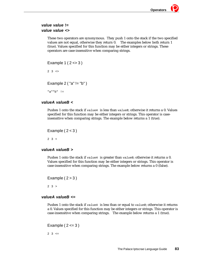# **value value != value value <>**

These two operators are synonymous. They push 1 onto the stack if the two specified values are not equal, otherwise they return 0. The examples below both return 1 (true). Values specified for this function may be either integers or strings. These operators are case-insensitive when comparing strings.

```
Example 1 ( 2 <> 3 )
2 \times 3 \leq 2Example 2 ( "a" != "b" )
"a""b" !=
```
# **valueA valueB <**

Pushes 1 onto the stack if  $valueA$  is less than  $valueB$ ; otherwise it returns a 0. Values specified for this function may be either integers or strings. This operator is caseinsensitive when comparing strings. The example below returns a 1 (true).

```
Example (2<3)
```
 $2 \times 3 \times$ 

# **valueA valueB >**

Pushes 1 onto the stack if valuea is greater than value B; otherwise it returns a 0. Values specified for this function may be either integers or strings. This operator is case-insensitive when comparing strings. The example below returns a 0 (false).

Example  $(2>3)$ 

 $2 \times 3 > 2$ 

# **valueA valueB <=**

Pushes 1 onto the stack if  $valueA$  is less than or equal to  $valueB$ ; otherwise it returns a 0. Values specified for this function may be either integers or strings. This operator is case-insensitive when comparing strings. The example below returns a 1 (true).

Example  $(2 \leq -3)$ 

 $2 \times 3 \leq 5$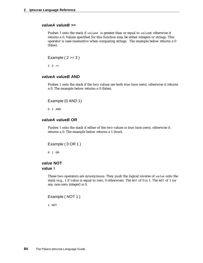## **valueA valueB >=**

Pushes 1 onto the stack if valueA is greater than or equal to valueB; otherwise it returns a 0. Values specified for this function may be either integers or strings. This operator is case-insensitive when comparing strings. The example below returns a 0 (false).

Example  $(2)=3$ )

 $2 \quad 3 \quad >=$ 

#### **valueA valueB AND**

Pushes 1 onto the stack if the two values are both true (non-zero), otherwise it returns a 0. The example below returns a 0 (false).

Example (0 AND 1)

0 1 AND

#### **valueA valueB OR**

Pushes 1 onto the stack if either of the two values is true (non-zero), otherwise it returns a 0. The example below returns a 1 (true).

```
Example ( 0 OR 1 )
```
0 1 OR

# **value NOT value !**

These two operators are synonymous. They push the logical inverse of value onto the stack (e.g., 1 if value is equal to zero, 0 otherwise). The NOT of 0 is 1. The NOT of 1 (or any non-zero integer) is 0.

```
Example ( NOT 1 )
```
1 NOT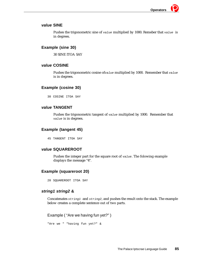### **value SINE**

Pushes the trigonometric sine of  $value$  multiplied by 1000. Remeber that  $value$  is in degrees.

# **Example (sine 30)**

30 SINE ITOA SAY

# **value COSINE**

Pushes the trigonometric cosine of value multiplied by 1000. Remember that value is in degrees.

# **Example (cosine 30)**

30 COSINE ITOA SAY

# **value TANGENT**

Pushes the trigonometric tangent of value multiplied by 1000. Remember that value is in degrees.

# **Example (tangent 45)**

45 TANGENT ITOA SAY

# **value SQUAREROOT**

Pushes the integer part for the square root of value. The folowing example displays the message "4".

# **Example (squareroot 20)**

20 SQUAREROOT ITOA SAY

# **string1 string2 &**

Concatenates string1 and string2, and pushes the result onto the stack. The example below creates a complete sentence out of two parts.

Example ( "Are we having fun yet?" )

```
"Are we " "having fun yet?" &
```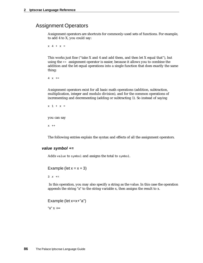# Assignment Operators

Assignment operators are shortcuts for commonly-used sets of functions. For example, to add 4 to X, you could say:

 $x + x =$ 

This works just fine ("take X and 4 and add them, and then let X equal that"), but using the += assignment operator is easier, because it allows you to combine the addition and the let equal operations into a single function that does exactly the same thing:

 $4 \times +=$ 

Assignment operators exist for all basic math operations (addition, subtraction, multiplication, integer and modulo division), and for the common operations of incrementing and decrementing (adding or subtracting 1). So instead of saying

```
x + x =you can say
x ++
```
The following entries explain the syntax and effects of all the assignment operators.

#### **value symbol +=**

Adds value to symbol and assigns the total to symbol.

```
Example (let x = x + 3)
```
 $3 \times +=$ 

 In this operation, you may also specify a string as the value. In this case the operation appends the string "a" to the string variable x, then assigns the result to x.

Example (let x=x+"a") " $a$ "  $x$  +=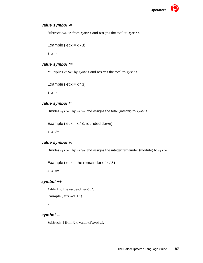# **value symbol -=**

Subtracts value from symbol and assigns the total to symbol.

Example (let 
$$
x = x - 3
$$
)

 $3 \times -1$ 

# **value symbol \*=**

Multiplies value by symbol and assigns the total to symbol.

```
Example (let x = x * 3)
```
3  $x * =$ 

# **value symbol /=**

Divides symbol by value and assigns the total (integer) to symbol.

Example (let  $x = x / 3$ , rounded down)

 $3 \times /=$ 

# **value symbol %=**

Divides symbol by value and assigns the integer remainder (modulo) to symbol.

Example (let  $x =$  the remainder of  $x / 3$ )

 $3 \times \frac{6}{9} =$ 

# **symbol ++**

Adds 1 to the value of symbol.

```
Example (let x = x + 1)
```
 $x ++$ 

# **symbol --**

Subtracts 1 from the value of symbol.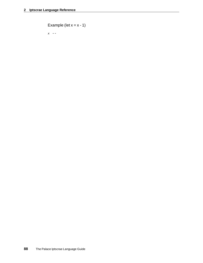```
Example (let x = x - 1)
x --
```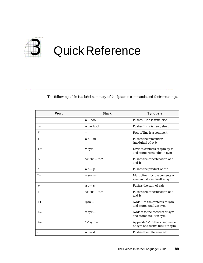

The following table is a brief summary of the Iptscrae commands and their meanings.

| Word           | <b>Stack</b>    | <b>Synopsis</b>                                                    |
|----------------|-----------------|--------------------------------------------------------------------|
| Ţ              | a -- bool       | Pushes 1 if a is zero, else 0                                      |
| $!=$           | a b -- bool     | Pushes 1 if a is zero, else 0                                      |
| #              | $-$             | Rest of line is a comment                                          |
| $\%$           | $a b - m$       | Pushes the remainder<br>(modulus) of $a/b$                         |
| $\% =$         | v sym --        | Divides contents of sym by v<br>and stores remainder in sym        |
| &              | "a" "b" -- "ab" | Pushes the concatenation of a<br>and b                             |
| $\ast$         | $a b - p$       | Pushes the product of a <sup>*</sup> b                             |
| ${}^* =$       | $v$ sym $-$     | Multiplies v by the contents of<br>sym and stores result in sym    |
| $^{+}$         | $a b - s$       | Pushes the sum of $a+b$                                            |
| $\overline{+}$ | "a" "b" -- "ab" | Pushes the concatenation of a<br>and b                             |
| $++$           | $sym -$         | Adds 1 to the contents of sym<br>and stores result in sym          |
| $+=$           | $v$ sym $-$     | Adds v to the contents of sym<br>and stores result in sym          |
| $+=$           | "s" sym --      | Appends "s" to the string value<br>of sym and stores result in sym |
|                | $a b - d$       | Pushes the difference a-b                                          |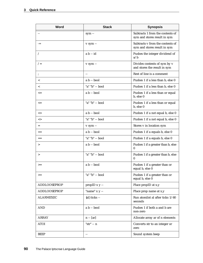| Word                | <b>Stack</b>             | <b>Synopsis</b>                                                  |
|---------------------|--------------------------|------------------------------------------------------------------|
|                     | $sym -$                  | Subtracts 1 from the contents of<br>sym and stores result in sym |
| $=$                 | v sym --                 | Subtracts v from the contents of<br>sym and stores result in sym |
| Ϊ                   | $a b - id$               | Pushes the integer dividend of<br>a/b                            |
| $/ =$               | v sym --                 | Divides contents of sym by v<br>and stores the result in sym     |
|                     | $\overline{\phantom{m}}$ | Rest of line is a comment                                        |
| $\,<\,$             | a b -- bool              | Pushes 1 if a less than b, else 0                                |
| $\,<\,$             | "a" "b" -- bool          | Pushes 1 if a less than b, else 0                                |
| $\leq$              | a b -- bool              | Pushes 1 if a less than or equal<br>b, else 0                    |
| $\leq$              | "a" "b" -- bool          | Pushes 1 if a less than or equal<br>b, else 0                    |
| $\mathord{<}$       | a b -- bool              | Pushes 1 if a not equal b, else 0                                |
| $\mathord{<}$       | "a" "b" -- bool          | Pushes 1 if a not equal b, else 0                                |
| $=$                 | v sym --                 | Stores v in location sym                                         |
| $=$                 | a b -- bool              | Pushes 1 if a equals b, else 0                                   |
| $==$                | "a" "b" -- bool          | Pushes 1 if a equals b, else 0                                   |
| >                   | a b -- bool              | Pushes 1 if a greater than b, else<br>0                          |
| $\, > \,$           | "a" "b" -- bool          | Pushes 1 if a greater than b, else<br>0                          |
| $>=$                | $a b - bool$             | Pushes 1 if a greater than or<br>equal b, else 0                 |
| $>=$                | "a" "b" -- bool          | Pushes 1 if a greater than or<br>equal b, else 0                 |
| <b>ADDLOOSEPROP</b> | propID $x y -$           | Place propID at x,y                                              |
| <b>ADDLOOSEPROP</b> | "name" $x y -$           | Place prop name at x,y                                           |
| <b>ALARMEXEC</b>    | $\{al\}$ ticks --        | Run atomlist al after ticks 1/60<br>seconds                      |
| <b>AND</b>          | a b -- bool              | Pushes 1 if both a and b are<br>non-zero                         |
| ARRAY               | $n - [ar]$               | Allocate array ar of n elements                                  |
| <b>ATOI</b>         | "str" -- n               | Converts str to an integer or<br>zero                            |
| BEEP                | $-$                      | Sound system beep                                                |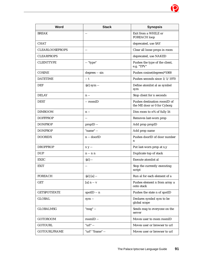| <b>Word</b>            | <b>Stack</b>             | <b>Synopsis</b>                                             |
|------------------------|--------------------------|-------------------------------------------------------------|
| <b>BREAK</b>           | $-$                      | Exit from a WHILE or<br><b>FOREACH</b> loop                 |
| <b>CHAT</b>            |                          | deprecated, use SAY                                         |
| <b>CLEARLOOSEPROPS</b> | $\overline{\phantom{m}}$ | Clear all loose props in room                               |
| <b>CLEARPROPS</b>      |                          | deprecated, use NAKED                                       |
| <b>CLIENTTYPE</b>      | -- "type"                | Pushes the type of the client,<br>e.g. "TPV"                |
| <b>COSINE</b>          | degrees -- sin           | Pushes cosine(degrees)*1000                                 |
| <b>DATETIME</b>        | -- t                     | Pushes seconds since 1/1/1970                               |
| <b>DEF</b>             | ${al}$ sym $-$           | Define atomlist al as symbol<br>sym                         |
| <b>DELAY</b>           | $n -$                    | Stop client for n seconds                                   |
| <b>DEST</b>            | -- roomID                | Pushes destination roomID of<br>the ME door or 0 for Cyborg |
| <b>DIMROOM</b>         | $n -$                    | Dim room to n% of fully lit                                 |
| <b>DOFFPROP</b>        | $\overline{\phantom{m}}$ | Removes last-worn prop                                      |
| <b>DONPROP</b>         | propID-                  | Add prop propID                                             |
| <b>DONPROP</b>         | "name" --                | Add prop name                                               |
| <b>DOORIDX</b>         | n -- doorID              | Pushes doorID of door number<br>n                           |
| <b>DROPPROP</b>        | $x y -$                  | Put last-worn prop at x,y                                   |
| <b>DUP</b>             | $n - n$                  | Duplicate top of stack                                      |
| <b>EXEC</b>            | ${al}$ --                | Execute atomlist al                                         |
| <b>EXIT</b>            | $-$                      | Stop the currently executing<br>script                      |
| <b>FOREACH</b>         | ${al}$ [a] $-$           | Run al for each element of a                                |
| <b>GET</b>             | $[a]$ n -- v             | Pushes element n from array a<br>onto stack                 |
| <b>GETSPOTSTATE</b>    | spotID -- n              | Pushes the state n of spotID                                |
| <b>GLOBAL</b>          | sym --                   | Declares symbol sym to be<br>global scope                   |
| <b>GLOBALMSG</b>       | "msg" --                 | Sends msg to everyone on the<br>server                      |
| <b>GOTOROOM</b>        | roomID --                | Moves user to room roomID                                   |
| <b>GOTOURL</b>         | "url" --                 | Moves user or browser to url                                |
| <b>GOTOURLFRAME</b>    | "url" "frame" --         | Moves user or browser to url                                |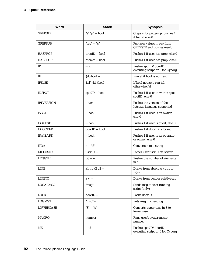| Word              | <b>Stack</b>                | <b>Synopsis</b>                                                 |
|-------------------|-----------------------------|-----------------------------------------------------------------|
| <b>GREPSTR</b>    | "s" "p" -- bool             | Greps s for pattern p, pushes 1<br>if found else 0              |
| <b>GREPSUB</b>    | "rep" $-$ "s"               | Replaces values in rep from<br><b>GREPSTR</b> and pushes result |
| <b>HASPROP</b>    | propID -- bool              | Pushes 1 if user has prop, else 0                               |
| <b>HASPROP</b>    | "name" -- bool              | Pushes 1 if user has prop, else 0                               |
| ID                | $-id$                       | Pushes spotID/doorID<br>executing script or 0 for Cyborg        |
| IF                | ${al}$ bool --              | Run al if bool is not zero                                      |
| <b>IFELSE</b>     | $\{tal\}$ $\{fal\}$ bool -- | If bool not zero run tal,<br>otherwise fal                      |
| <b>INSPOT</b>     | spotID -- bool              | Pushes 1 if user in within spot<br>spotID, else 0               |
| <b>IPTVERSION</b> | -- ver                      | Pushes the version of the<br>Iptscrae language supported        |
| <b>ISGOD</b>      | -- bool                     | Pushes 1 if user is an owner,<br>else 0                         |
| <b>ISGUEST</b>    | -- bool                     | Pushes 1 if user is guest, else 0                               |
| <b>ISLOCKED</b>   | doorID -- bool              | Pushes 1 if doorID is locked                                    |
| <b>ISWIZARD</b>   | -- bool                     | Pushes 1 if user is an operator<br>or owner, else 0             |
| <b>ITOA</b>       | $n - "S"$                   | Converts n to a string                                          |
| <b>KILLUSER</b>   | userID --                   | Forces user userID off server                                   |
| <b>LENGTH</b>     | $[a] - n$                   | Pushes the number of elements<br>in a                           |
| <b>LINE</b>       | x1 y1 x2 y2 --              | Draws from absolute x1,y1 to<br>x2,y2                           |
| <b>LINETO</b>     | $x y -$                     | Draws from penpos relative x,y                                  |
| <b>LOCALMSG</b>   | " $msg" -$                  | Sends msg to user running<br>script (only)                      |
| <b>LOCK</b>       | doorID-                     | Locks doorID                                                    |
| <b>LOGMSG</b>     | "msg" --                    | Puts msg in client log                                          |
| <b>LOWERCASE</b>  | " $S$ " -- " $s$ "          | Converts upper case in S to<br>lower case                       |
| <b>MACRO</b>      | number --                   | Runs user's avatar macro<br>number                              |
| ME                | -- id                       | Pushes spotID/doorID<br>executing script or 0 for Cyborg        |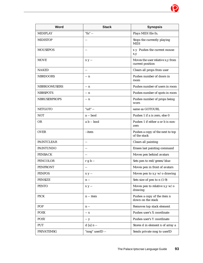| Word                | <b>Stack</b>    | <b>Synopsis</b>                                      |
|---------------------|-----------------|------------------------------------------------------|
| <b>MIDIPLAY</b>     | "fn" --         | Plays MIDI file fn.                                  |
| <b>MIDISTOP</b>     | $\overline{a}$  | Stops the currently playing<br><b>MIDI</b>           |
| <b>MOUSEPOS</b>     | $\overline{a}$  | x y Pushes the current mouse<br>x,y                  |
| <b>MOVE</b>         | $x y -$         | Moves the user relative x,y from<br>current position |
| <b>NAKED</b>        | $-$             | Clears all props from user                           |
| <b>NBRDOORS</b>     | $- n$           | Pushes number of doors in<br>room                    |
| <b>NBRROOMUSERS</b> | -- n            | Pushes number of users in room                       |
| <b>NBRSPOTS</b>     | -- n            | Pushes number of spots in room                       |
| <b>NBRUSERPROPS</b> | -- n            | Pushes number of props being<br>worn                 |
| <b>NETGOTO</b>      | "url" --        | same as GOTOURL                                      |
| <b>NOT</b>          | a -- bool       | Pushes 1 if a is zero, else 0                        |
| <b>OR</b>           | a b -- bool     | Pushes 1 if either a or b is non-<br>zero            |
| <b>OVER</b>         | --item          | Pushes a copy of the next to top<br>of the stack     |
| <b>PAINTCLEAR</b>   | $\overline{a}$  | Clears all painting                                  |
| <b>PAINTUNDO</b>    | $-$             | Erases last painting command                         |
| <b>PENBACK</b>      | $-$             | Moves pen behind avatars                             |
| <b>PENCOLOR</b>     | $r g b -$       | Sets pen to red/green/blue                           |
| <b>PENFRONT</b>     | $-$             | Moves pen in front of avatars                        |
| <b>PENPOS</b>       | $x y -$         | Moves pen to x,y $w/o$ drawing                       |
| <b>PENSIZE</b>      | $n -$           | Sets size of pen to $n(1-9)$                         |
| <b>PENTO</b>        | $x y -$         | Moves pen to relative x,y $w/o$<br>drawing           |
| <b>PICK</b>         | n -- item       | Pushes a copy of the item n<br>down on the stack     |
| POP                 | $n -$           | Removes top stack element                            |
| <b>POSX</b>         | $- X$           | Pushes user's X coordinate                           |
| <b>POSY</b>         | -- y            | Pushes user's Y coordinate                           |
| <b>PUT</b>          | $d$ [a] $n -$   | Stores d in element n of array a                     |
| <b>PRIVATEMSG</b>   | "msg" userID -- | Sends private msg to userID                          |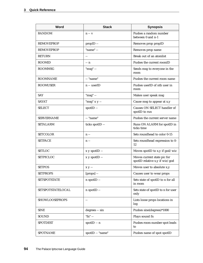| Word                | <b>Stack</b>             | <b>Synopsis</b>                                               |
|---------------------|--------------------------|---------------------------------------------------------------|
| <b>RANDOM</b>       | $n - v$                  | Pushes a random number<br>between 0 and n-1                   |
| <b>REMOVEPROP</b>   | propID --                | Removes prop propID                                           |
| <b>REMOVEPROP</b>   | "name" --                | Removes prop name                                             |
| <b>RETURN</b>       | $\overline{\phantom{a}}$ | Break out of an atomlist                                      |
| <b>ROOMID</b>       | -- n                     | Pushes the current roomID                                     |
| <b>ROOMMSG</b>      | "msg" --                 | Sends msg to everyone in the<br>room                          |
| <b>ROOMNAME</b>     | -- "name"                | Pushes the current room name                                  |
| ROOMUSER            | n -- userID              | Pushes userID of nth user in<br>room                          |
| <b>SAY</b>          | "msg" --                 | Makes user speak msg                                          |
| <b>SAYAT</b>        | "msg" x y --             | Cause msg to appear at x,y                                    |
| <b>SELECT</b>       | spotID --                | Causes ON SELECT handler of<br>spotID to run                  |
| <b>SERVERNAME</b>   | -- "name"                | Pushes the current server name                                |
| <b>SETALARM</b>     | ticks spotID --          | Runs ON ALARM for spotID in<br>ticks time                     |
| <b>SETCOLOR</b>     | $n -$                    | Sets roundhead to color 0-15                                  |
| SETFACE             | $n -$                    | Sets roundhead expression to 0-<br>12                         |
| <b>SETLOC</b>       | x y spotID --            | Moves spotID to x,y if $\text{god}/\text{wiz}$                |
| <b>SETPICLOC</b>    | x y spotID --            | Moves current state pic for<br>spotID relative x,y if wiz/god |
| <b>SETPOS</b>       | $x y -$                  | Moves user to absolute x,y                                    |
| <b>SETPROPS</b>     | $[props]$ --             | Causes user to wear props                                     |
| <b>SETSPOTSTATE</b> | n spotID --              | Sets state of spotID to n for all<br>in room                  |
| SETSPOTSTATELOCAL   | n spotID --              | Sets state of spotID to n for user<br>only                    |
| SHOWLOOSEPROPS      | $\overline{\phantom{m}}$ | Lists loose props locations in<br>log                         |
| <b>SINE</b>         | degrees -- sin           | Pushes sine(degrees)*1000                                     |
| SOUND               | "fn" --                  | Plays sound fn                                                |
| <b>SPOTDEST</b>     | spotID -- n              | Pushes room number spot leads<br>to                           |
| <b>SPOTNAME</b>     | spotID -- "name"         | Pushes name of spot spotID                                    |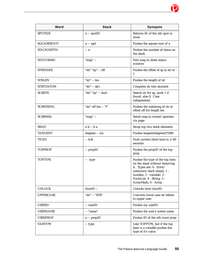| <b>Word</b>       | <b>Stack</b>         | <b>Synopsis</b>                                                                                                                                                                                             |
|-------------------|----------------------|-------------------------------------------------------------------------------------------------------------------------------------------------------------------------------------------------------------|
| <b>SPOTIDX</b>    | $n - spotID$         | Returns ID of the nth spot in<br>room                                                                                                                                                                       |
| SQUAREROOT        | $n -$ sqrt           | Pushes the square root of n                                                                                                                                                                                 |
| <b>STACKDEPTH</b> | -- n                 | Pushes the number of items on<br>the stack                                                                                                                                                                  |
| <b>STATUSMSG</b>  | "msg" --             | Puts msg in client status<br>window                                                                                                                                                                         |
| <b>STRINDEX</b>   | "str" "sp" -- off    | Pushes the offset of sp in str or -<br>1                                                                                                                                                                    |
| <b>STRLEN</b>     | "str" -- len         | Pushes the length of str                                                                                                                                                                                    |
| <b>STRTOATOM</b>  | "str" -- {al}        | Compiles str into atomlist                                                                                                                                                                                  |
| <b>SUBSTR</b>     | "str" "sp" -- bool   | Search str for sp, push 1 if<br>found, else 0. Case<br>independent.                                                                                                                                         |
| <b>SUBSTRING</b>  | "str" off len -- "f" | Pushes the substring of str at<br>offset off for length len                                                                                                                                                 |
| <b>SUSRMSG</b>    | "msg" --             | Sends msg to owner/operator<br>via page                                                                                                                                                                     |
| <b>SWAP</b>       | $a b - b a$          | Swap top two stack elements                                                                                                                                                                                 |
| <b>TANGENT</b>    | degrees -- sin       | Pushes tangent(degrees)*1000                                                                                                                                                                                |
| TICKS             | -- tick              | Push current client time in 1/60<br>seconds                                                                                                                                                                 |
| <b>TOPPROP</b>    | -- propID            | Pushes the propID of the top<br>prop                                                                                                                                                                        |
| <b>TOPTYPE</b>    | -- type              | Pushes the type of the top item<br>on the stack without removing<br>it. Types are: 0 - Error/<br>unknown/stack empty, 1 -<br>number, 2 - variable, 3 -<br>AtomList, 4 - String, 5 -<br>ArrayMark, 6 - Array |
| <b>UNLOCK</b>     | doorID --            | Unlocks door doorID                                                                                                                                                                                         |
| <b>UPPERCASE</b>  | "str" -- "STR"       | Converts lower case str letters<br>to upper case                                                                                                                                                            |
| <b>USERID</b>     | -- userID            | Pushes my userID                                                                                                                                                                                            |
| <b>USERNAME</b>   | -- "name"            | Pushes the user's screen name                                                                                                                                                                               |
| <b>USERPROP</b>   | $n - propID$         | Pushes ID of the nth worn prop                                                                                                                                                                              |
| <b>VARTYPE</b>    | -- type              | Like TOPTYPE, but if the top<br>item is a variable pushes the<br>type of it's value                                                                                                                         |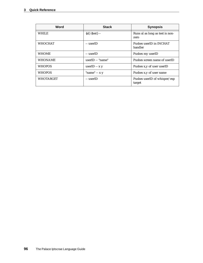| Word             | <b>Stack</b>       | <b>Synopsis</b>                         |
|------------------|--------------------|-----------------------------------------|
| <b>WHILE</b>     | $\{al\}$ {test} -- | Runs al as long as test is non-<br>zero |
| <b>WHOCHAT</b>   | -- userID          | Pushes userID in INCHAT<br>handler      |
| <b>WHOME</b>     | -- userID          | Pushes my userID                        |
| <b>WHONAME</b>   | userID -- "name"   | Pushes screen name of userID            |
| <b>WHOPOS</b>    | userID $- x y$     | Pushes x,y of user userID               |
| <b>WHOPOS</b>    | "name" $- x y$     | Pushes x,y of user name                 |
| <b>WHOTARGET</b> | -- userID          | Pushes userID of whisper/esp<br>target  |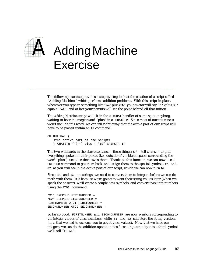

# *A* Adding Machine Exercise

The following exercise provides a step-by-step look at the creation of a script called "Adding Machine," which performs addition problems. With this script in place, whenever you type in something like "673 plus 897" your avatar will say "673 plus 897 equals 1570", and at last your parents will see the point behind all that tuition…

The *Adding Machine* script will sit in the OUTCHAT handler of some spot or cyborg, waiting to hear the magic word "plus" in a CHATSTR. Since most of our utterances won't include this word, we can tell right away that the active part of our script will have to be placed within an IF command:

```
ON OUTCHAT {
   <the active part of the script>
   } CHATSTR "^(.*) plus (.*)$" GREPSTR IF
```
The two wildcards in the above sentence – these things:  $(*)$  – tell GREPSTR to grab everything spoken in their places (i.e., outside of the blank spaces surrounding the word "plus"). GREPSTR then saves them. Thanks to this function, we can now use a GREPSUB command to get them back, and assign them to the special symbols  $$1$  and \$2 as you will see in the active part of our script, which we can now turn to.

Since  $$1$  and  $$2$  are strings, we need to convert them to integers before we can do math with them. But because we're going to want their string values later (when we speak the answer), we'll create a couple new symbols, and convert *those* into numbers using the ATOI command:

```
"$1" GREPSUB FIRSTNUMBER =
"$2" GREPSUB SECONDNUMBER =
FIRSTNUMBER ATOI FIRSTNUMBER =
SECONDNUMBER ATOI SECONDNUMBER =
```
So far so good. FIRSTNUMBER and SECONDNUMBER are now symbols corresponding to the integer values of these numbers, while  $\beta$  and  $\beta$  still store the string versions (note that we had to use GREPSUB to get at these values). Now that we have our integers, we can do the addition operation itself, sending our output to a third symbol we'll call "TOTAL":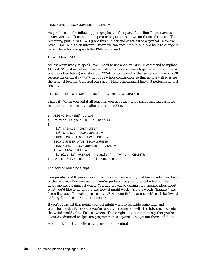FIRSTNUMBER SECONDNUMBER + TOTAL =

As you'll see in the following paragraphs, the first part of this line ("FIRSTNUMBER SECONDNUMBER  $+$ ") uses the  $+$  operator to put the sum we need onto the stack. The remaining part (" $TOTAL =$ ") grabs this number and assigns it to a symbol. Now we have TOTAL, but it's an integer! Before we can speak it out loud, we have to change it into a character string with the ITOA command:

TOTAL ITOA TOTAL =

At last we're ready to speak. We'll need to use another GREPSUB command to replace  $$1$  and  $$2$  just as before, then we'll slap a simple sentence together with a couple  $\&$ operators (see below) and stick our TOTAL onto the end of that sentence. Finally we'll replace the original CHATSTR with this whole contraption, so that no one will ever see the original text that triggered our script. Here's the magical line that performs all that trickery:

"\$1 plus \$2" GREPSUB " equals " & TOTAL & CHATSTR =

That's it! When you put it all together, you get a nifty little script that can easily be modified to perform any mathematical operation.

```
; "ADDING MACHINE" script
; Put this in your OUTCHAT handler
{
   "$1" GREPSUB FIRSTNUMBER =
   "$2" GREPSUB SECONDNUMBER =
   FIRSTNUMBER ATOI FIRSTNUMBER =
   SECONDNUMBER ATOI SECONDNUMBER =
   FIRSTNUMBER SECONDNUMBER + TOTAL =
   TOTAL ITOA TOTAL =
   "$1 plus $2" GREPSUB " equals " & TOTAL & CHATSTR =
} CHATSTR "^(.*) plus (.*)$" GREPSTR IF
```
#### The Adding Machine Script

Congratulations! If you've performed this exercise carefully and have made liberal use of the *Language Reference* section, you're probably beginning to get a feel for the language and its unusual ways. You might even be getting very specific ideas about what you'd like to do with it, and how it might work. Are the words "handler" and "atomlist" actually making sense to you? Are you feeling at ease with such backwardlooking formulae as  $"2 \;3 + \text{total} = "?$ 

If you've reached that point, you just might want to set aside some time and brainstorm out a full design; you're ready to become one with the Iptscrae, and enter the weird world of the Palace owners. That's right — you can now say that you're about as advanced an Iptscrae programmer as anyone — so get out there and do it!

And don't forget to invite us to your grand opening!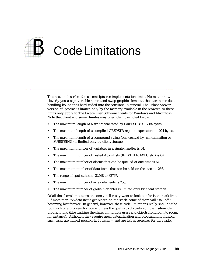

This section describes the current Iptscrae implementation limits. No matter how cleverly you assign variable names and swap graphic elements, there are some data handling boundaries hard-coded into the software. In general, The Palace Viewer version of Iptscrae is limited only by the memory available in the browser, so these limits only apply to The Palace User Software clients for Windows and Macintosh. Note that client and server limites may override those noted below.

- The maximum length of a string generated by GREPSUB is 16384 bytes.
- The maximum length of a compiled GREPSTR regular expression is 1024 bytes.
- The maximum length of a compound string (one created by concatenation or SUBSTRING) is limited only by client storage.
- The maximum number of variables in a single handler is 64.
- The maximum number of nested AtomLists (IF, WHILE, EXEC etc.) is 64.
- The maximum number of alarms that can be queued at one time is 64.
- The maximum number of data items that can be held on the stack is 256.
- The range of spot states is -32768 to 32767.
- The maximum number of array elements is 256.
- The maximum number of global variables is limited only by client storage.

Of all the above limitations, the one you'll really want to look out for is the *stack limit - -* if more than 256 data items get placed on the stack, some of them will "fall off," becoming lost forever. In general, however, these code limitations really shouldn't be too much of a problem for you -- unless the goal is to do truly complex, site-wide programming (like tracking the states of multiple users and objects from room to room, for instance). Although they require great determination and programming fluency, such tasks are indeed possible in Iptscrae -- and are left as exercises for the reader.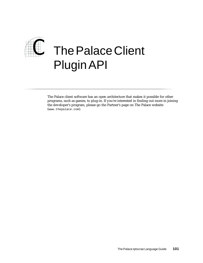

The Palace client software has an open architecture that makes it possible for other programs, such as games, to plug-in. If you're interested in finding out more in joining the developer's program, please go the Partner's page on The Palace website (www.thepalace.com).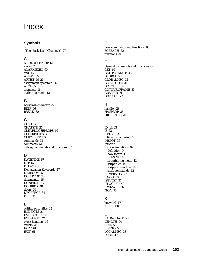# Index

#### **Symbols**

64 (The "Backslash" Character) 27

# **A**

ADDLOOSEPROP 64 alarm 28 ALARMEXEC 60 and 16 ARRAY 65 ARTIST 19, 21 assignment operators 86 ATOI 65 atomlists 16 authoring mode 13

# **B**

backslash character 27 BEEP 66 BREAK 60

# **C**

CHAT 32 CHATSTR 27 CLEARLOOSEPROPS 66 CLEARPROPS 32 CLIENTTYPE 66 commands 31 comments 64 cyborg commands and functions 32

# **D**

DATETIME 67 DEF 67 DELAY 68 Demarcation Keywords 17 DIMROOM 68 DOFFPROP 33 dommands 16 DONPROP 33 DOORIDX 48 doors 16 DROPPROP 34 DUP 69

# **E**

editing script files 14 ENDPICTS<sup>24</sup> ENDPICTURE 21 ENDSCRIPT 24 event handlers 16 events 28 EXEC 61 EXIT 61

# **F**

flow commands and functions 60 FOREACH 62 functions 31

# **G**

General commands and functions 64 GET 69 GETSPOTSTATE 48 GLOBAL 70 GLOBALMSG 34 GOTOROOM 34 GOTOURL 35 GOTOURLFRAME 35 GREPSTR 71 GREPSUB 72

# **H**

handler 28 HASPROP 36 HIDDEN 19, 20

# **I**

ID 19, 23 IF 62 IFELSE 62 infix word ordering 10 INSPOT 36 Iptscrae code limitations 99 definition 9 how to run 11 in ASCII 14 in authoring mode 13 script files 14 scripting window 14 slash commands 12 IPTVERSION 72 ISGOD 36 ISGUEST 37 ISLOCKED 49 ISWIZARD 37 ITOA 73

# **K**

keyword 17 KILLUSER 37

# **L**

LAUNCHAPP 73 LENGTH 74 LINE 55 LINETO 56 LOCALMSG 38 LOCK 49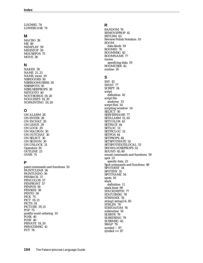LOGMSG 74 LOWERCASE 74

#### **M**

MACRO 38 ME 49 MIDIPLAY 59 MIDISTOP 59 MOUSEPOS 75 MOVE 38

# **N**

NAKED 39 NAME 21, 23 NAME, room 19 NBRDOORS 50 NBRROOMUSERS 39 NBRSPOTS 50 NBRUSERPROPS 39 NETGOTO 40 NOCYBORGS 19, 20 NOGUESTS 19, 20 NOPAINTING 19, 20

# **O**

ON ALARM 28 ON ENTER 28 ON INCHAT 29 ON LEAVE 29 ON LOCK 29 ON MACRON 30 ON OUTCHAT 30 ON SELECT 30 ON SIGNON 30 ON UNLOCK 31 Operators 81 OUTLINE 23 OVER 75

# **P**

paint commands and functions 55 PAINTCLEAR 56 PAINTUNDO 56 PENBACK 57 PENCOLOR 57 PENFRONT 57 PENPOS 58 PENSIZE 58 PENTO 59 PICK 75 PICT 19, 21 PICTS 24 PICTURE 19, 21 POP 75 postfix word ordering 10 POSX 40 POSY 40 PRIVATE 19, 20 PRIVATEMSG 41 PUT 76

# **R**

RANDOM 76 REMOVEPROP 41 RETURN 63 Reverse Polish Notation 10 ROOM data block 19 ROOMID 76 ROOMMSG 42 ROOMNAME 77 rooms specifying data 19 ROOMUSER 42 routine 16

# **S**

SAY 42 SAYAT 77 SCRIPT 24 script definition 16 script file anatomy 15 script files 14 scripting window 14 SELECT 50 SERVERNAME 77 SETALARM 51, 63 SETCOLOR 43 SETFACE 44 SETLOC 51 SETPICLOC 51 SETPOS 44 SETPROPS 44 SETSPOTSTATE 52 SETSPOTSTATELOCAL 53 SHOWLOOSEPROPS 53 SOUND 45, 60 sound commands and functions 59 spot 23 specify data 23 Spot commands and functions 48 SPOTDEST 54 SPOTIDX 55 SPOTNAME 54 spots 16 stack definition 11 stack limit 99 STACKDEPTH 77 STATUSMSG 78 STRINDEX 78 string1 string2 & 85 STRLEN 78 STRTOATOM 78 subroutine 16 SUBSTR 79 SUBSTRING 79 SUSRMSG 45 SWAP 79 symbol -- 87 symbol ++ 87